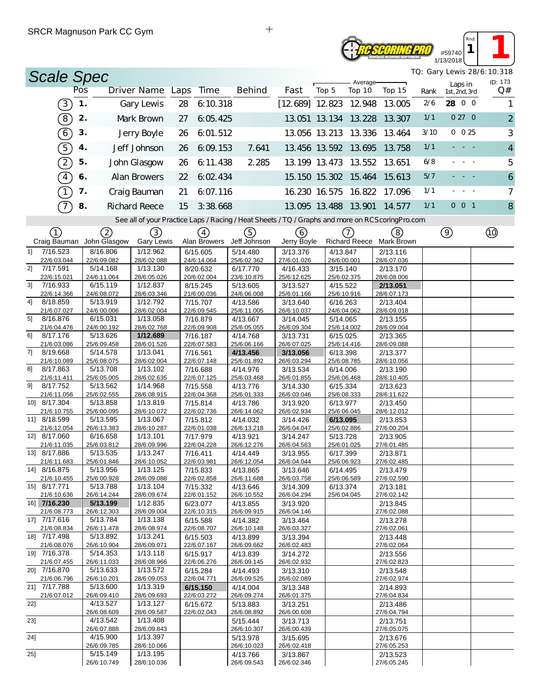## **RESEORING PRO** #59740 1/13/2018

*TQ: Gary Lewis 28/6:10.318*

*Rnd* **1 1 1** 

| <b>Scale Spec</b>             |     |                                                |                          |                                  |                         |                         |                                                                                                   |                         |      | TQ: Gary Lewis 28/6: 10.318 |                |
|-------------------------------|-----|------------------------------------------------|--------------------------|----------------------------------|-------------------------|-------------------------|---------------------------------------------------------------------------------------------------|-------------------------|------|-----------------------------|----------------|
|                               | Pos |                                                |                          |                                  | <b>Behind</b>           |                         | Average-                                                                                          |                         |      | Laps in                     | ID: 173        |
|                               |     |                                                |                          | Driver Name Laps Time            |                         | Fast                    | Top 5<br>Top 10                                                                                   | Top 15                  | Rank | 1st, 2nd, 3rd               | Q#             |
| $\left[3\right]$              | 1.  |                                                | Gary Lewis               | 6:10.318<br>28                   |                         |                         | $[12,689]$ 12 823 12 948                                                                          | 13.005                  | 2/6  | 28 0 0                      | 1              |
| $\left( 8\right)$             | 2.  |                                                | Mark Brown               | 6:05.425<br>27                   |                         |                         | 13.051 13.134 13.228                                                                              | 13.307                  | 1/1  | 0 27 0                      | $\overline{2}$ |
| $\left[6\right]$              | 3.  |                                                | Jerry Boyle              | 6.01.512<br>26                   |                         |                         | 13.056 13.213 13.336                                                                              | 13.464                  | 3/10 | $0\ 0\ 25$                  | 3              |
| 5)                            | 4.  |                                                | Jeff Johnson             | 6:09:153<br>26                   | 7.641                   |                         | 13.456 13.592 13.695                                                                              | 13.758                  | 1/1  | $\sim 100$ $\sim$           | $\overline{4}$ |
|                               |     |                                                |                          |                                  |                         |                         |                                                                                                   |                         |      |                             |                |
| $\left( 2\right)$             | 5.  |                                                | John Glasgow             | 6:11.438<br>26                   | 2 2 8 5                 |                         | 13.199 13.473 13.552                                                                              | 13.651                  | 6/8  |                             | 5              |
| $\sqrt{4}$                    | 6.  |                                                | Alan Browers             | 6.02.434<br>22                   |                         |                         | 15.150 15.302 15.464                                                                              | 15.613                  | 5/7  |                             | 6              |
|                               | 7.  |                                                | Craig Bauman             | 21<br>6.07.116                   |                         |                         | 16.230 16.575 16.822                                                                              | 17.096                  | 1/1  |                             | $\overline{7}$ |
| 7                             | 8.  |                                                | <b>Richard Reece</b>     | 3:38.668<br>15                   |                         |                         | 13.095 13.488 13.901                                                                              | 14.577                  | 1/1  | $0$ 0 1                     | 8              |
|                               |     |                                                |                          |                                  |                         |                         | See all of your Practice Laps / Racing / Heat Sheets / TQ / Graphs and more on RCS coring Pro.com |                         |      |                             |                |
|                               |     |                                                |                          |                                  |                         |                         |                                                                                                   |                         |      |                             |                |
| (1)                           |     | $\left( 2\right)$<br>Craig Bauman John Glasgow | (3)<br><b>Gary Lewis</b> | $\left(4\right)$<br>Alan Browers | 5)<br>Jeff Johnson      | (6)<br>Jerry Boyle      | (7)<br><b>Richard Reece</b>                                                                       | (8)<br>Mark Brown       |      | $\circled{9}$               |                |
| 7/16.523<br>11                |     | 8/16.806                                       | 1/12.962                 | 6/15.605                         | 5/14.480                | 3/13.376                | 4/13.847                                                                                          | 2/13.116                |      |                             |                |
| 22/6:03.044                   |     | 22/6:09.082                                    | 28/6:02.088              | 24/6:14.064                      | 25/6:02.362             | 27/6:01.026             | 26/6:00.001                                                                                       | 28/6:07.036             |      |                             |                |
| 7/17.591<br>2]<br>22/6:15.021 |     | 5/14.168<br>24/6:11.064                        | 1/13.130<br>28/6:05.026  | 8/20.632<br>20/6:02.004          | 6/17.770<br>23/6:10.875 | 4/16.433<br>25/6:12.625 | 3/15.140<br>25/6:02.375                                                                           | 2/13.170<br>28/6:08.006 |      |                             |                |
| 7/16.933<br>31                |     | 6/15.119                                       | 1/12.837                 | 8/15.245                         | 5/13.605                | 3/13.527                | 4/15.522                                                                                          | 2/13.051                |      |                             |                |
| 22/6:14.366                   |     | 24/6:08.072                                    | 28/6:03.346              | 21/6:00.036                      | 24/6:06.008             | 25/6:01.166             | 25/6:10.916                                                                                       | 28/6:07.173             |      |                             |                |
| 41<br>8/18.859                |     | 5/13.919                                       | 1/12.792                 | 7/15.707                         | 4/13.586                | 3/13.640                | 6/16.263                                                                                          | 2/13.404                |      |                             |                |
| 21/6:07.027                   |     | 24/6:00.006                                    | 28/6:02.004              | 22/6:09.545                      | 25/6:11.005             | 26/6:10.037             | 24/6:04.062                                                                                       | 28/6:09.018             |      |                             |                |
| 8/16.876<br>51                |     | 6/15.031                                       | 1/13.058                 | 7/16.879                         | 4/13.667                | 3/14.045                | 5/14.065                                                                                          | 2/13.155                |      |                             |                |
| 21/6:04.476<br>8/17.176<br>61 |     | 24/6:00.192<br>5/13.626                        | 28/6:02.768<br>1/12.689  | 22/6:09.908<br>7/16.187          | 25/6:05.055             | 26/6:09.304<br>3/13.731 | 25/6:14.002<br>6/15.025                                                                           | 28/6:09.004<br>2/13.365 |      |                             |                |
| 21/6:03.086                   |     | 25/6:09.458                                    | 28/6:01.526              | 22/6:07.583                      | 4/14.768<br>25/6:06.166 | 26/6:07.025             | 25/6:14.416                                                                                       | 28/6:09.088             |      |                             |                |
| 7]<br>8/19.668                |     | 5/14.578                                       | 1/13.041                 | 7/16.561                         | 4/13.456                | 3/13.056                | 6/13.398                                                                                          | 2/13.377                |      |                             |                |
| 21/6:10.089                   |     | 25/6:08.075                                    | 28/6:02.004              | 22/6:07.148                      | 25/6:01.892             | 26/6:03.294             | 25/6:08.785                                                                                       | 28/6:10.056             |      |                             |                |
| 8/17.863<br>81                |     | 5/13.708                                       | 1/13.102                 | 7/16.688                         | 4/14.976                | 3/13.534                | 6/14.006                                                                                          | 2/13.190                |      |                             |                |
| 21/6:11.411                   |     | 25/6:05.005                                    | 28/6:02.635              | 22/6:07.125                      | 25/6:03.468             | 26/6:01.855             | 25/6:06.468                                                                                       | 28/6:10.405             |      |                             |                |
| 91<br>8/17.752                |     | 5/13.562<br>25/6:02.555                        | 1/14.968                 | 7/15.558<br>22/6:04.368          | 4/13.776                | 3/14.330                | 6/15.334<br>25/6:08.333                                                                           | 2/13.623                |      |                             |                |
| 21/6:11.056<br>10] 8/17.304   |     | 5/13.858                                       | 28/6:08.915<br>1/13.819  | 7/15.814                         | 25/6:01.333<br>4/13.786 | 26/6:03.046<br>3/13.920 | 6/13.977                                                                                          | 28/6:11.622<br>2/13.450 |      |                             |                |
| 21/6:10.755                   |     | 25/6:00.095                                    | 28/6:10.072              | 22/6:02.736                      | 26/6:14.062             | 26/6:02.934             | 25/6:06.045                                                                                       | 28/6:12.012             |      |                             |                |
| 11] 8/18.599                  |     | 5/13.595                                       | 1/13.067                 | 7/15.812                         | 4/14.032                | 3/14.426                | 6/13.095                                                                                          | 2/13.853                |      |                             |                |
| 21/6:12.054                   |     | 26/6:13.383                                    | 28/6:10.287              | 22/6:01.038                      | 26/6:13.218             | 26/6:04.047             | 25/6:02.886                                                                                       | 27/6:00.204             |      |                             |                |
| 12] 8/17.060                  |     | 6/16.658                                       | 1/13.101                 | 7/17.979                         | 4/13.921                | 3/14.247                | 5/13.728                                                                                          | 2/13.905                |      |                             |                |
| 21/6:11.035<br>13] 8/17.886   |     | 25/6:03.812                                    | 28/6:09.996              | 22/6:04.228                      | 26/6:12.276             | 26/6:04.563             | 25/6:01.025                                                                                       | 27/6:01.485             |      |                             |                |
| 21/6:11.683                   |     | 5/13.535<br>25/6:01.846                        | 1/13.247<br>28/6:10.052  | 7/16.411<br>22/6:03.981          | 4/14.449<br>26/6:12.054 | 3/13.955<br>26/6:04.044 | 6/17.399<br>25/6:06.923                                                                           | 2/13.871<br>27/6:02.485 |      |                             |                |
| 14] 8/16.875                  |     | 5/13.956                                       | 1/13.125                 | 7/15.833                         | 4/13.865                | 3/13.646                | 6/14.495                                                                                          | 2/13.479                |      |                             |                |
| 21/6:10.455                   |     | 25/6:00.928                                    | 28/6:09.088              | 22/6:02.858                      | 26/6:11.688             | 26/6:03.758             | 25/6:06.589                                                                                       | 27/6:02.590             |      |                             |                |
| 15] 8/17.771                  |     | 5/13.788                                       | 1/13.104                 | 7/15.332                         | 4/13.646                | 3/14.309                | 6/13.374                                                                                          | 2/13.181                |      |                             |                |
| 21/6:10.636                   |     | 26/6:14.244                                    | 28/6:09.674              | 22/6:01.152                      | 26/6:10.552             | 26/6:04.294             | 25/6:04.045                                                                                       | 27/6:02.142             |      |                             |                |
| 16] 7/16.230<br>21/6:08.773   |     | 5/13.199<br>26/6:12.303                        | 1/12.835<br>28/6:09.004  | 6/23.077<br>22/6:10.315          | 4/13.855<br>26/6:09.915 | 3/13.920<br>26/6:04.146 |                                                                                                   | 2/13.845<br>27/6:02.088 |      |                             |                |
| 17] 7/17.616                  |     | 5/13.784                                       | 1/13.138                 | 6/15.588                         | 4/14.382                | 3/13.464                |                                                                                                   | 2/13.278                |      |                             |                |
| 21/6:08.834                   |     | 26/6:11.478                                    | 28/6:08.974              | 22/6:08.707                      | 26/6:10.148             | 26/6:03.327             |                                                                                                   | 27/6:02.061             |      |                             |                |
| 18] 7/17.498                  |     | 5/13.892                                       | 1/13.241                 | 6/15.503                         | 4/13.899                | 3/13.394                |                                                                                                   | 2/13.448                |      |                             |                |
| 21/6:08.076                   |     | 26/6:10.904                                    | 28/6:09.071              | 22/6:07.167                      | 26/6:09.662             | 26/6:02.483             |                                                                                                   | 27/6:02.064             |      |                             |                |
| 19] 7/16.378                  |     | 5/14.353                                       | 1/13.118                 | 6/15.917                         | 4/13.839                | 3/14.272                |                                                                                                   | 2/13.556                |      |                             |                |
| 21/6:07.455<br>20] 7/16.870   |     | 26/6:11.033<br>5/13.633                        | 28/6:08.966<br>1/13.572  | 22/6:06.276<br>6/15.284          | 26/6:09.145<br>4/14.493 | 26/6:02.932<br>3/13.310 |                                                                                                   | 27/6:02.823<br>2/13.548 |      |                             |                |
| 21/6:06.796                   |     | 26/6:10.201                                    | 28/6:09.053              | 22/6:04.771                      | 26/6:09.525             | 26/6:02.089             |                                                                                                   | 27/6:02.974             |      |                             |                |
| 21] 7/17.788                  |     | 5/13.600                                       | 1/13.319                 | 6/15.150                         | 4/14.004                | 3/13.348                |                                                                                                   | 2/14.893                |      |                             |                |
| 21/6:07.012                   |     | 26/6:09.410                                    | 28/6:09.693              | 22/6:03.272                      | 26/6:09.274             | 26/6:01.375             |                                                                                                   | 27/6:04.834             |      |                             |                |
| 22]                           |     | 4/13.527                                       | 1/13.127                 | 6/15.672                         | 5/13.883                | 3/13.251                |                                                                                                   | 2/13.486                |      |                             |                |
|                               |     | 26/6:08.609<br>4/13.542                        | 28/6:09.587<br>1/13.408  | 22/6:02.043                      | 26/6:08.892             | 26/6:00.608             |                                                                                                   | 27/6:04.794             |      |                             |                |
| 23]                           |     | 26/6:07.888                                    | 28/6:09.843              |                                  | 5/15.444<br>26/6:10.307 | 3/13.713<br>26/6:00.439 |                                                                                                   | 2/13.751<br>27/6:05.075 |      |                             |                |
| 24]                           |     | 4/15.900                                       | 1/13.397                 |                                  | 5/13.978                | 3/15.695                |                                                                                                   | 2/13.676                |      |                             |                |
|                               |     | 26/6:09.785                                    | 28/6:10.066              |                                  | 26/6:10.023             | 26/6:02.418             |                                                                                                   | 27/6:05.253             |      |                             |                |
| $25$ ]                        |     | 5/15.149                                       | 1/13.195                 |                                  | 4/13.766                | 3/13.867                |                                                                                                   | 2/13.523                |      |                             |                |
|                               |     | 26/6:10.749                                    | 28/6:10.036              |                                  | 26/6:09.543             | 26/6:02.346             |                                                                                                   | 27/6:05.245             |      |                             |                |

 $+$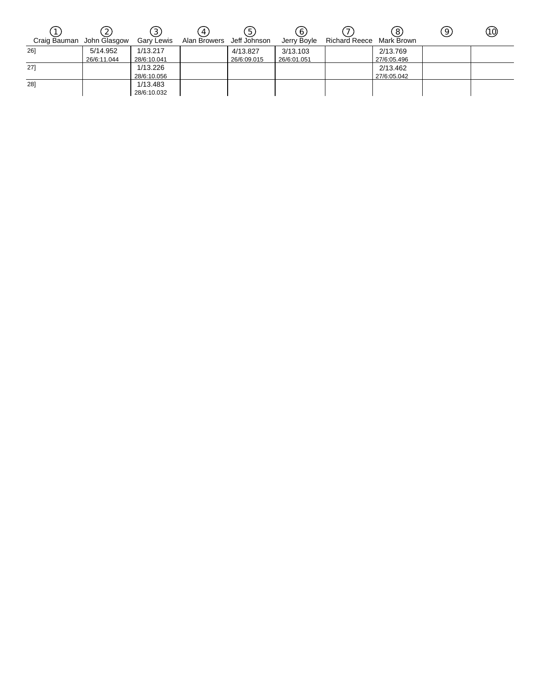|                           |             |             | 4            | . 5'         | 6           |                          | 8           | 9 | ⑩ |
|---------------------------|-------------|-------------|--------------|--------------|-------------|--------------------------|-------------|---|---|
| Craig Bauman John Glasgow |             | Gary Lewis  | Alan Browers | Jeff Johnson | Jerry Bovle | Richard Reece Mark Brown |             |   |   |
| 261                       | 5/14.952    | 1/13.217    |              | 4/13.827     | 3/13.103    |                          | 2/13.769    |   |   |
|                           | 26/6:11.044 | 28/6:10.041 |              | 26/6:09.015  | 26/6:01.051 |                          | 27/6:05.496 |   |   |
| 27]                       |             | 1/13.226    |              |              |             |                          | 2/13.462    |   |   |
|                           |             | 28/6:10.056 |              |              |             |                          | 27/6:05.042 |   |   |
| 28]                       |             | 1/13.483    |              |              |             |                          |             |   |   |
|                           |             | 28/6:10.032 |              |              |             |                          |             |   |   |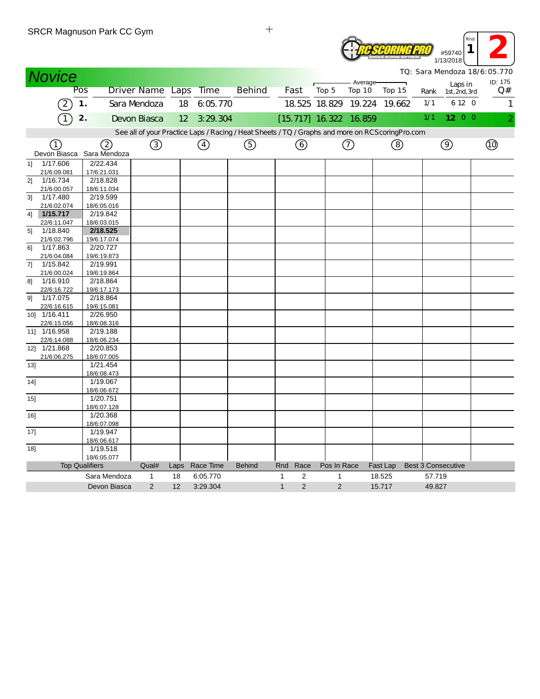|                |                         | SRUR Magnuson Park CC Gym |                  |      |               |                                                                                                  |              |                |                |                          |          | #59740<br>1/13/2018              | Rnd<br>1      |
|----------------|-------------------------|---------------------------|------------------|------|---------------|--------------------------------------------------------------------------------------------------|--------------|----------------|----------------|--------------------------|----------|----------------------------------|---------------|
|                | <b>Novice</b>           |                           |                  |      |               |                                                                                                  |              |                |                |                          |          | TO: Sara Mendoza 18/6:05.770     |               |
|                |                         | Pos                       | Driver Name Laps |      | <b>Time</b>   | <b>Behind</b>                                                                                    |              | Fast           | Top 5          | Average-<br>Top 10       | Top 15   | Laps in<br>Rank<br>1st, 2nd, 3rd | ID: 175<br>Q# |
|                |                         |                           |                  |      |               |                                                                                                  |              |                |                |                          |          |                                  |               |
|                |                         | 1.                        | Sara Mendoza     | 18   | 6:05.770      |                                                                                                  |              |                |                | 18.525 18.829 19.224     | 19.662   | 6 12 0<br>1/1                    | $\mathbf{1}$  |
|                | 1                       | 2.                        | Devon Biasca     | 12   | 3:29.304      |                                                                                                  |              |                |                | $[15.717]$ 16.322 16.859 |          | 1200<br>1/1                      |               |
|                |                         |                           |                  |      |               | See all of your Practice Laps / Racing / Heat Sheets / TQ / Graphs and more on RCScoring Pro.com |              |                |                |                          |          |                                  |               |
|                | (1                      | 2                         | ③                |      | $\circled{4}$ | ⑤                                                                                                |              | ⊙              |                | (7)                      | (8)      | $\circledcirc$                   | (তি           |
|                | Devon Biasca            | Sara Mendoza              |                  |      |               |                                                                                                  |              |                |                |                          |          |                                  |               |
| 11             | 1/17.606                | 2/22.434                  |                  |      |               |                                                                                                  |              |                |                |                          |          |                                  |               |
|                | 21/6:09.081             | 17/6:21.031               |                  |      |               |                                                                                                  |              |                |                |                          |          |                                  |               |
| 21             | 1/16.734                | 2/18.828                  |                  |      |               |                                                                                                  |              |                |                |                          |          |                                  |               |
|                | 21/6:00.057             | 18/6:11.034               |                  |      |               |                                                                                                  |              |                |                |                          |          |                                  |               |
| 31             | 1/17.480                | 2/19.599                  |                  |      |               |                                                                                                  |              |                |                |                          |          |                                  |               |
|                | 21/6:02.074             | 18/6:05.016               |                  |      |               |                                                                                                  |              |                |                |                          |          |                                  |               |
| 4]             | 1/15.717                | 2/19.842                  |                  |      |               |                                                                                                  |              |                |                |                          |          |                                  |               |
|                | 22/6:11.047             | 18/6:03.015               |                  |      |               |                                                                                                  |              |                |                |                          |          |                                  |               |
| 5 <sup>1</sup> | 1/18.840                | 2/18.525                  |                  |      |               |                                                                                                  |              |                |                |                          |          |                                  |               |
|                | 21/6:02.796             | 19/6:17.074               |                  |      |               |                                                                                                  |              |                |                |                          |          |                                  |               |
| 61             | 1/17.863                | 2/20.727                  |                  |      |               |                                                                                                  |              |                |                |                          |          |                                  |               |
|                | 21/6:04.084             | 19/6:19.873               |                  |      |               |                                                                                                  |              |                |                |                          |          |                                  |               |
| 71             | 1/15.842                | 2/19.991                  |                  |      |               |                                                                                                  |              |                |                |                          |          |                                  |               |
|                | 21/6:00.024             | 19/6:19.864               |                  |      |               |                                                                                                  |              |                |                |                          |          |                                  |               |
| 81             | 1/16.910                | 2/18.864                  |                  |      |               |                                                                                                  |              |                |                |                          |          |                                  |               |
|                | 22/6:16.722             | 19/6:17.173               |                  |      |               |                                                                                                  |              |                |                |                          |          |                                  |               |
| 91             | 1/17.075                | 2/18.864                  |                  |      |               |                                                                                                  |              |                |                |                          |          |                                  |               |
|                | 22/6:16.615             | 19/6:15.081               |                  |      |               |                                                                                                  |              |                |                |                          |          |                                  |               |
|                | 10] 1/16.411            | 2/26.950                  |                  |      |               |                                                                                                  |              |                |                |                          |          |                                  |               |
|                | 22/6:15.056             | 18/6:08.316               |                  |      |               |                                                                                                  |              |                |                |                          |          |                                  |               |
|                | 11] 1/16.958            | 2/19.188                  |                  |      |               |                                                                                                  |              |                |                |                          |          |                                  |               |
| 12             | 22/6:14.088<br>1/21.868 | 18/6:06.234<br>2/20.853   |                  |      |               |                                                                                                  |              |                |                |                          |          |                                  |               |
|                | 21/6:06.275             | 18/6:07.005               |                  |      |               |                                                                                                  |              |                |                |                          |          |                                  |               |
| 131            |                         | 1/21.454                  |                  |      |               |                                                                                                  |              |                |                |                          |          |                                  |               |
|                |                         | 18/6:08.473               |                  |      |               |                                                                                                  |              |                |                |                          |          |                                  |               |
| 14]            |                         | 1/19.067                  |                  |      |               |                                                                                                  |              |                |                |                          |          |                                  |               |
|                |                         | 18/6:06.672               |                  |      |               |                                                                                                  |              |                |                |                          |          |                                  |               |
| 15]            |                         | 1/20.751                  |                  |      |               |                                                                                                  |              |                |                |                          |          |                                  |               |
|                |                         | 18/6:07.128               |                  |      |               |                                                                                                  |              |                |                |                          |          |                                  |               |
| 16]            |                         | 1/20.368                  |                  |      |               |                                                                                                  |              |                |                |                          |          |                                  |               |
|                |                         | 18/6:07.098               |                  |      |               |                                                                                                  |              |                |                |                          |          |                                  |               |
| 17]            |                         | 1/19.947                  |                  |      |               |                                                                                                  |              |                |                |                          |          |                                  |               |
|                |                         | 18/6:06.617               |                  |      |               |                                                                                                  |              |                |                |                          |          |                                  |               |
| 18]            |                         | 1/19.518                  |                  |      |               |                                                                                                  |              |                |                |                          |          |                                  |               |
|                |                         | 18/6:05.077               |                  |      |               |                                                                                                  |              |                |                |                          |          |                                  |               |
|                |                         | <b>Top Qualifiers</b>     | Qual#            | Laps | Race Time     | <b>Behind</b>                                                                                    | Rnd          | Race           | Pos In Race    |                          | Fast Lap | <b>Best 3 Consecutive</b>        |               |
|                |                         | Sara Mendoza              | 1                | 18   | 6:05.770      |                                                                                                  | $\mathbf{1}$ | $\overline{2}$ | 1              |                          | 18.525   | 57.719                           |               |
|                |                         | Devon Biasca              | $\overline{2}$   | 12   | 3:29.304      |                                                                                                  | $\mathbf{1}$ | $\overline{2}$ | $\overline{2}$ |                          | 15.717   | 49.827                           |               |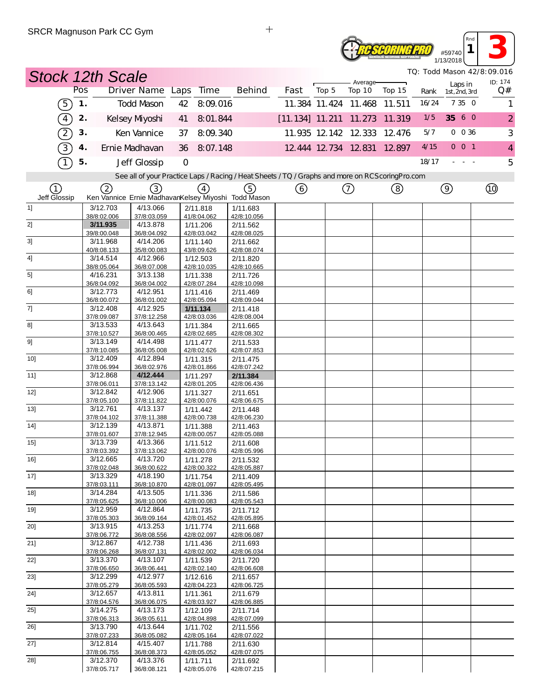

| #59740 | Rnd |  |
|--------|-----|--|
| 3/2018 |     |  |

|                   | <b>Stock 12th Scale</b> |                         |                                                                                                   |                         |                               |                             |                   |        |       |                          | TQ: Todd Mason 42/8:09.016 |
|-------------------|-------------------------|-------------------------|---------------------------------------------------------------------------------------------------|-------------------------|-------------------------------|-----------------------------|-------------------|--------|-------|--------------------------|----------------------------|
|                   | Pos                     | Driver Name Laps Time   |                                                                                                   | <b>Behind</b>           | Fast                          | Top 5                       | Average<br>Top 10 | Top 15 | Rank  | Laps in<br>1st, 2nd, 3rd | ID: 174<br>Q#              |
| (5)               | $\mathbf 1$ .           | <b>Todd Mason</b>       | 8:09.016<br>42                                                                                    |                         |                               | 11.384 11.424 11.468 11.511 |                   |        | 16/24 | 7 35 0                   | $\mathbf{1}$               |
| $\left(4\right)$  | 2.                      | Kelsey Myoshi           | 8:01.844<br>41                                                                                    |                         | [11.134] 11.211 11.273 11.319 |                             |                   |        | 1/5   | 35 6 0                   | $\overline{2}$             |
| $\left( 2\right)$ | 3.                      | Ken Vannice             | 8:09.340<br>37                                                                                    |                         |                               | 11.935 12.142 12.333 12.476 |                   |        | 5/7   | $0\ 0\ 36$               | 3                          |
| $\boxed{3}$       | 4.                      | Ernie Madhavan          | 8:07.148<br>36                                                                                    |                         |                               | 12 444 12 734 12 831        |                   | 12.897 | 4/15  | $0$ 0 1                  | $\overline{4}$             |
|                   | 5.                      | Jeff Glossip            | $\mathbf{O}$                                                                                      |                         |                               |                             |                   |        | 18/17 | $\sim 100$ $\sim$        | 5                          |
|                   |                         |                         | See all of your Practice Laps / Racing / Heat Sheets / TQ / Graphs and more on RCS coring Pro.com |                         |                               |                             |                   |        |       |                          |                            |
| (1)               | (2)                     | (3)                     | $\left(4\right)$<br>Ken Vannice Ernie MadhavanKelsey Miyoshi Todd Mason                           | ⑤                       |                               |                             | ⑦                 | ②      |       | $\circledcirc$           | ⑩                          |
| Jeff Glossip<br>1 | 3/12.703                | 4/13.066                | 2/11.818                                                                                          | 1/11.683                |                               |                             |                   |        |       |                          |                            |
|                   | 38/8:02.006<br>3/11.935 | 37/8:03.059<br>4/13.878 | 41/8:04.062                                                                                       | 42/8:10.056             |                               |                             |                   |        |       |                          |                            |
| 2]                | 39/8:00.048             | 36/8:04.092             | 1/11.206<br>42/8:03.042                                                                           | 2/11.562<br>42/8:08.025 |                               |                             |                   |        |       |                          |                            |
| 3]                | 3/11.968                | 4/14.206                | 1/11.140                                                                                          | 2/11.662                |                               |                             |                   |        |       |                          |                            |
|                   | 40/8:08.133<br>3/14.514 | 35/8:00.083<br>4/12.966 | 43/8:09.626                                                                                       | 42/8:08.074             |                               |                             |                   |        |       |                          |                            |
| 4]                | 38/8:05.064             | 36/8:07.008             | 1/12.503<br>42/8:10.035                                                                           | 2/11.820<br>42/8:10.665 |                               |                             |                   |        |       |                          |                            |
| 5]                | 4/16.231                | 3/13.138                | 1/11.338                                                                                          | 2/11.726                |                               |                             |                   |        |       |                          |                            |
|                   | 36/8:04.092             | 36/8:04.002             | 42/8:07.284                                                                                       | 42/8:10.098             |                               |                             |                   |        |       |                          |                            |
| 6]                | 3/12.773<br>36/8:00.072 | 4/12.951<br>36/8:01.002 | 1/11.416<br>42/8:05.094                                                                           | 2/11.469<br>42/8:09.044 |                               |                             |                   |        |       |                          |                            |
| 7]                | 3/12.408                | 4/12.925                | 1/11.134                                                                                          | 2/11.418                |                               |                             |                   |        |       |                          |                            |
|                   | 37/8:09.087             | 37/8:12.258             | 42/8:03.036                                                                                       | 42/8:08.004             |                               |                             |                   |        |       |                          |                            |
| 8]                | 3/13.533<br>37/8:10.527 | 4/13.643<br>36/8:00.465 | 1/11.384<br>42/8:02.685                                                                           | 2/11.665<br>42/8:08.302 |                               |                             |                   |        |       |                          |                            |
| 9]                | 3/13.149                | 4/14.498                | 1/11.477                                                                                          | 2/11.533                |                               |                             |                   |        |       |                          |                            |
|                   | 37/8:10.085             | 36/8:05.008             | 42/8:02.626                                                                                       | 42/8:07.853             |                               |                             |                   |        |       |                          |                            |
| 10]               | 3/12.409                | 4/12.894                | 1/11.315                                                                                          | 2/11.475                |                               |                             |                   |        |       |                          |                            |
| 11]               | 37/8:06.994<br>3/12.868 | 36/8:02.976<br>4/12.444 | 42/8:01.866<br>1/11.297                                                                           | 42/8:07.242<br>2/11.384 |                               |                             |                   |        |       |                          |                            |
|                   | 37/8:06.011             | 37/8:13.142             | 42/8:01.205                                                                                       | 42/8:06.436             |                               |                             |                   |        |       |                          |                            |
| 12]               | 3/12.842                | 4/12.906                | 1/11.327                                                                                          | 2/11.651                |                               |                             |                   |        |       |                          |                            |
| 13]               | 37/8:05.100<br>3/12.761 | 37/8:11.822<br>4/13.137 | 42/8:00.076<br>1/11.442                                                                           | 42/8:06.675<br>2/11.448 |                               |                             |                   |        |       |                          |                            |
|                   | 37/8:04.102             | 37/8:11.388             | 42/8:00.738                                                                                       | 42/8:06.230             |                               |                             |                   |        |       |                          |                            |
| 14]               | 3/12.139                | 4/13.871                | 1/11.388                                                                                          | 2/11.463                |                               |                             |                   |        |       |                          |                            |
|                   | 37/8:01.607<br>3/13.739 | 37/8:12.945<br>4/13.366 | 42/8:00.057                                                                                       | 42/8:05.088             |                               |                             |                   |        |       |                          |                            |
| 15]               | 37/8:03.392             | 37/8:13.062             | 1/11.512<br>42/8:00.076                                                                           | 2/11.608<br>42/8:05.996 |                               |                             |                   |        |       |                          |                            |
| $16$ ]            | 3/12.665                | 4/13.720                | 1/11.278                                                                                          | 2/11.532                |                               |                             |                   |        |       |                          |                            |
|                   | 37/8:02.048             | 36/8:00.622             | 42/8:00.322                                                                                       | 42/8:05.887             |                               |                             |                   |        |       |                          |                            |
| $17$ ]            | 3/13.329<br>37/8:03.111 | 4/18.190<br>36/8:10.870 | 1/11.754<br>42/8:01.097                                                                           | 2/11.409<br>42/8:05.495 |                               |                             |                   |        |       |                          |                            |
| 18]               | 3/14.284                | 4/13.505                | 1/11.336                                                                                          | 2/11.586                |                               |                             |                   |        |       |                          |                            |
|                   | 37/8:05.625             | 36/8:10.006             | 42/8:00.083                                                                                       | 42/8:05.543             |                               |                             |                   |        |       |                          |                            |
| 19]               | 3/12.959<br>37/8:05.303 | 4/12.864<br>36/8:09.164 | 1/11.735<br>42/8:01.452                                                                           | 2/11.712<br>42/8:05.895 |                               |                             |                   |        |       |                          |                            |
| 20]               | 3/13.915                | 4/13.253                | 1/11.774                                                                                          | 2/11.668                |                               |                             |                   |        |       |                          |                            |
|                   | 37/8:06.772             | 36/8:08.556             | 42/8:02.097                                                                                       | 42/8:06.087             |                               |                             |                   |        |       |                          |                            |
| 21]               | 3/12.867                | 4/12.738                | 1/11.436                                                                                          | 2/11.693                |                               |                             |                   |        |       |                          |                            |
| 22]               | 37/8:06.268<br>3/13.370 | 36/8:07.131<br>4/13.107 | 42/8:02.002<br>1/11.539                                                                           | 42/8:06.034<br>2/11.720 |                               |                             |                   |        |       |                          |                            |
|                   | 37/8:06.650             | 36/8:06.441             | 42/8:02.140                                                                                       | 42/8:06.608             |                               |                             |                   |        |       |                          |                            |
| 23]               | 3/12.299                | 4/12.977                | 1/12.616                                                                                          | 2/11.657                |                               |                             |                   |        |       |                          |                            |
| 24]               | 37/8:05.279<br>3/12.657 | 36/8:05.593<br>4/13.811 | 42/8:04.223<br>1/11.361                                                                           | 42/8:06.725<br>2/11.679 |                               |                             |                   |        |       |                          |                            |
|                   | 37/8:04.576             | 36/8:06.075             | 42/8:03.927                                                                                       | 42/8:06.885             |                               |                             |                   |        |       |                          |                            |
| $25$ ]            | 3/14.275                | 4/13.173                | 1/12.109                                                                                          | 2/11.714                |                               |                             |                   |        |       |                          |                            |
|                   | 37/8:06.313<br>3/13.790 | 36/8:05.611<br>4/13.644 | 42/8:04.898                                                                                       | 42/8:07.099             |                               |                             |                   |        |       |                          |                            |
| 26]               | 37/8:07.233             | 36/8:05.082             | 1/11.702<br>42/8:05.164                                                                           | 2/11.556<br>42/8:07.022 |                               |                             |                   |        |       |                          |                            |
| 27]               | 3/12.814                | 4/15.407                | 1/11.788                                                                                          | 2/11.630                |                               |                             |                   |        |       |                          |                            |
|                   | 37/8:06.755             | 36/8:08.373             | 42/8:05.052                                                                                       | 42/8:07.075             |                               |                             |                   |        |       |                          |                            |
| 28]               | 3/12.370<br>37/8:05.717 | 4/13.376<br>36/8:08.121 | 1/11.711<br>42/8:05.076                                                                           | 2/11.692<br>42/8:07.215 |                               |                             |                   |        |       |                          |                            |

 $\ddot{+}$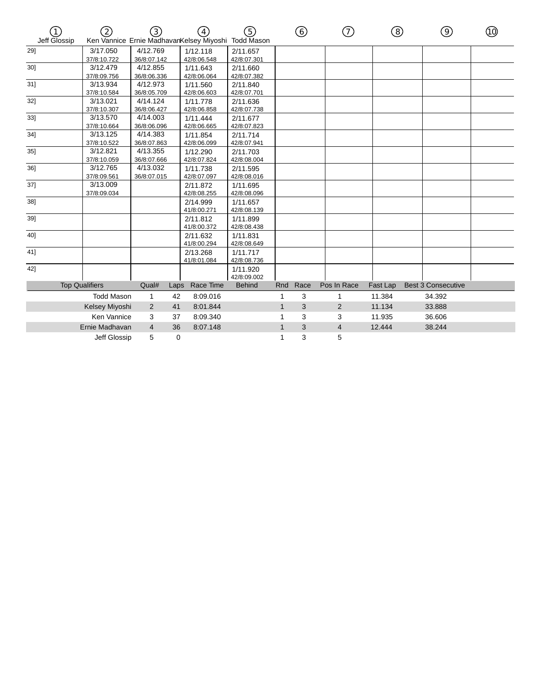| Jeff Glossip<br>Ken Vannice Ernie MadhavanKelsey Miyoshi Todd Mason<br>3/17.050<br>4/12.769<br>29]<br>1/12.118<br>2/11.657<br>37/8:10.722<br>36/8:07.142<br>42/8:06.548<br>42/8:07.301<br>4/12.855<br>3/12.479<br>1/11.643<br>2/11.660<br>301<br>37/8:09.756<br>36/8:06.336<br>42/8:06.064<br>42/8:07.382 |  |
|-----------------------------------------------------------------------------------------------------------------------------------------------------------------------------------------------------------------------------------------------------------------------------------------------------------|--|
|                                                                                                                                                                                                                                                                                                           |  |
|                                                                                                                                                                                                                                                                                                           |  |
|                                                                                                                                                                                                                                                                                                           |  |
|                                                                                                                                                                                                                                                                                                           |  |
|                                                                                                                                                                                                                                                                                                           |  |
| $31$ ]<br>3/13.934<br>4/12.973<br>1/11.560<br>2/11.840                                                                                                                                                                                                                                                    |  |
| 37/8:10.584<br>36/8:05.709<br>42/8:06.603<br>42/8:07.701                                                                                                                                                                                                                                                  |  |
| 32]<br>3/13.021<br>4/14.124<br>1/11.778<br>2/11.636                                                                                                                                                                                                                                                       |  |
| 37/8:10.307<br>36/8:06.427<br>42/8:06.858<br>42/8:07.738                                                                                                                                                                                                                                                  |  |
| 3/13.570<br>4/14.003<br>33]<br>1/11.444<br>2/11.677                                                                                                                                                                                                                                                       |  |
| 37/8:10.664<br>36/8:06.096<br>42/8:06.665<br>42/8:07.823                                                                                                                                                                                                                                                  |  |
| $34$ ]<br>3/13.125<br>4/14.383<br>2/11.714<br>1/11.854                                                                                                                                                                                                                                                    |  |
| 37/8:10.522<br>36/8:07.863<br>42/8:06.099<br>42/8:07.941                                                                                                                                                                                                                                                  |  |
| 4/13.355<br>$35$ ]<br>3/12.821<br>1/12.290<br>2/11.703                                                                                                                                                                                                                                                    |  |
| 42/8:07.824<br>37/8:10.059<br>36/8:07.666<br>42/8:08.004                                                                                                                                                                                                                                                  |  |
| 4/13.032<br>36]<br>3/12.765<br>1/11.738<br>2/11.595                                                                                                                                                                                                                                                       |  |
| 37/8:09.561<br>42/8:07.097<br>42/8:08.016<br>36/8:07.015                                                                                                                                                                                                                                                  |  |
| 37]<br>3/13.009<br>2/11.872<br>1/11.695                                                                                                                                                                                                                                                                   |  |
| 42/8:08.255<br>42/8:08.096<br>37/8:09.034                                                                                                                                                                                                                                                                 |  |
| 38]<br>1/11.657<br>2/14.999                                                                                                                                                                                                                                                                               |  |
| 41/8:00.271<br>42/8:08.139                                                                                                                                                                                                                                                                                |  |
| 39]<br>2/11.812<br>1/11.899                                                                                                                                                                                                                                                                               |  |
| 41/8:00.372<br>42/8:08.438                                                                                                                                                                                                                                                                                |  |
| 40]<br>2/11.632<br>1/11.831                                                                                                                                                                                                                                                                               |  |
| 41/8:00.294<br>42/8:08.649                                                                                                                                                                                                                                                                                |  |
| 41]<br>2/13.268<br>1/11.717                                                                                                                                                                                                                                                                               |  |
| 41/8:01.084<br>42/8:08.736                                                                                                                                                                                                                                                                                |  |
| 42]<br>1/11.920                                                                                                                                                                                                                                                                                           |  |
| 42/8:09.002                                                                                                                                                                                                                                                                                               |  |
| Race Time<br><b>Top Qualifiers</b><br>Qual#<br><b>Behind</b><br>Rnd<br>Race<br>Pos In Race<br>Fast Lap<br><b>Best 3 Consecutive</b><br>Laps                                                                                                                                                               |  |
| <b>Todd Mason</b><br>3<br>$\mathbf{1}$<br>42<br>8:09.016<br>$\mathbf{1}$<br>11.384<br>34.392<br>1                                                                                                                                                                                                         |  |
| Kelsey Miyoshi<br>8:01.844<br>3<br>$\overline{2}$<br>11.134<br>33.888<br>2<br>41<br>$\mathbf{1}$                                                                                                                                                                                                          |  |
| Ken Vannice<br>11.935<br>36.606<br>3<br>37<br>8:09.340<br>3<br>3<br>1                                                                                                                                                                                                                                     |  |
| 3<br>Ernie Madhavan<br>$\overline{4}$<br>$\mathbf{1}$<br>4<br>12.444<br>38.244<br>36<br>8:07.148                                                                                                                                                                                                          |  |
| 3<br>5<br>5<br>Jeff Glossip<br>$\mathbf 0$<br>1                                                                                                                                                                                                                                                           |  |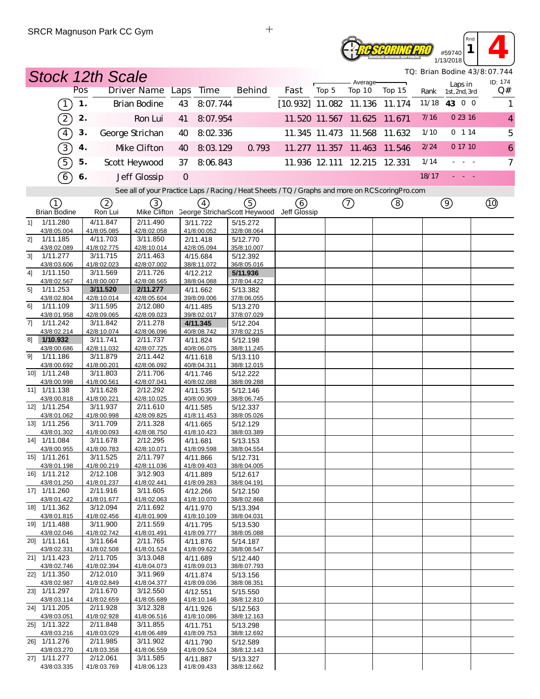## **RESEDRING PRO** #59740 1/13/2018

*TQ: Brian Bodine 43/8:07.744*

*Rnd*  $\begin{array}{|c|c|c|}\n\hline\n\text{and} & \text{if} & \text{if} & \text{if} & \text{if} & \text{if} & \text{if} & \text{if} & \text{if} & \text{if} & \text{if} & \text{if} & \text{if} & \text{if} & \text{if} & \text{if} & \text{if} & \text{if} & \text{if} & \text{if} & \text{if} & \text{if} & \text{if} & \text{if} & \text{if} & \text{if} & \text{if} & \text{if} & \text{if} & \text{if} & \text{if} & \text{if} & \text{if} & \text{if$ 

|                |                             | <b>Stock 12th Scale</b> |                         |                                                                                                  |                |                         |                                                               |                          |       |                             |        | TQ: Brian Bodine 43/8: 07. 744 |                               |                     |
|----------------|-----------------------------|-------------------------|-------------------------|--------------------------------------------------------------------------------------------------|----------------|-------------------------|---------------------------------------------------------------|--------------------------|-------|-----------------------------|--------|--------------------------------|-------------------------------|---------------------|
|                |                             | Pos                     |                         | Driver Name Laps                                                                                 |                | Time                    | <b>Behind</b>                                                 | Fast                     | Top 5 | Average-<br>Top 10          | Top 15 |                                | Laps in                       | ID: 174<br>Q#       |
|                | $\boxed{1}$                 | $\mathbf 1$ .           |                         | <b>Brian Bodine</b>                                                                              | 43             | 8:07.744                |                                                               | $[10.932]$ 11.082 11.136 |       |                             | 11.174 | Rank                           | 1st, 2nd, 3rd<br>11/18 43 0 0 | 1                   |
|                |                             |                         |                         |                                                                                                  |                |                         |                                                               |                          |       |                             |        |                                |                               |                     |
|                | $\left[2\right]$            | 2.                      |                         | Ron Lui                                                                                          | 41             | 8:07.954                |                                                               |                          |       | 11.520 11.567 11.625        | 11.671 | 7/16                           | 0 23 16                       | $\overline{4}$      |
|                | $\boxed{4}$                 | 3.                      |                         | George Strichan                                                                                  | 40             | 8:02 336                |                                                               |                          |       | 11.345 11.473 11.568        | 11.632 | 1/10                           | 0 114                         | 5                   |
|                | $\overline{3}$              | 4.                      |                         | Mke Clifton                                                                                      | 40             | 8:03.129                | 0.793                                                         |                          |       | 11.277 11.357 11.463        | 11.546 | 2/24                           | 0 17 10                       | $\ddot{\mathbf{6}}$ |
|                | $\widehat{5}$               | 5.                      |                         | Scott Heywood                                                                                    | 37             | 8:06.843                |                                                               |                          |       | 11.936 12.111 12.215 12.331 |        | 1/14                           | $\sim$                        | $\overline{7}$      |
|                | $\widehat{6}$               | 6.                      |                         | Jeff Glossip                                                                                     | $\overline{O}$ |                         |                                                               |                          |       |                             |        | 18/17                          |                               |                     |
|                |                             |                         |                         |                                                                                                  |                |                         |                                                               |                          |       |                             |        |                                |                               |                     |
|                |                             |                         |                         | See all of your Practice Laps / Racing / Heat Sheets / TQ / Graphs and more on RCScoring Pro.com |                |                         |                                                               |                          |       |                             |        |                                |                               |                     |
|                | ①<br><b>Brian Bodine</b>    |                         | 2<br>Ron Lui            | (3)                                                                                              |                | $\binom{4}{}$           | (5)<br>Mike Clifton George StricharScott Heywood Jeff Glossip | (6)                      |       | $^\copyright$               | (8)    |                                | $\circledcirc$                |                     |
| 1              | 1/11.280                    |                         | 4/11.847                | 2/11.490                                                                                         |                | 3/11.722                | 5/15.272                                                      |                          |       |                             |        |                                |                               |                     |
| 21             | 43/8:05.004<br>1/11.185     |                         | 41/8:05.085<br>4/11.703 | 42/8:02.058<br>3/11.850                                                                          |                | 41/8:00.052             | 32/8:08.064                                                   |                          |       |                             |        |                                |                               |                     |
|                | 43/8:02.089                 |                         | 41/8:02.775             | 42/8:10.014                                                                                      |                | 2/11.418<br>42/8:05.094 | 5/12.770<br>35/8:10.007                                       |                          |       |                             |        |                                |                               |                     |
| 3 <sup>1</sup> | 1/11.277                    |                         | 3/11.715                | 2/11.463                                                                                         |                | 4/15.684                | 5/12.392                                                      |                          |       |                             |        |                                |                               |                     |
|                | 43/8:03.606                 |                         | 41/8:02.023             | 42/8:07.002                                                                                      |                | 38/8:11.072             | 36/8:05.016                                                   |                          |       |                             |        |                                |                               |                     |
| 41             | 1/11.150<br>43/8:02.567     |                         | 3/11.569<br>41/8:00.007 | 2/11.726<br>42/8:08.565                                                                          |                | 4/12.212<br>38/8:04.088 | 5/11.936<br>37/8:04.422                                       |                          |       |                             |        |                                |                               |                     |
| 5]             | 1/11.253                    |                         | 3/11.520                | 2/11.277                                                                                         |                | 4/11.662                | 5/13.382                                                      |                          |       |                             |        |                                |                               |                     |
|                | 43/8:02.804                 |                         | 42/8:10.014             | 42/8:05.604                                                                                      |                | 39/8:09.006             | 37/8:06.055                                                   |                          |       |                             |        |                                |                               |                     |
| 61             | 1/11.109<br>43/8:01.958     |                         | 3/11.595<br>42/8:09.065 | 2/12.080<br>42/8:09.023                                                                          |                | 4/11.485<br>39/8:02.017 | 5/13.270<br>37/8:07.029                                       |                          |       |                             |        |                                |                               |                     |
| 71             | 1/11.242                    |                         | 3/11.842                | 2/11.278                                                                                         |                | 4/11.345                | 5/12.204                                                      |                          |       |                             |        |                                |                               |                     |
|                | 43/8:02.214                 |                         | 42/8:10.074             | 42/8:06.096                                                                                      |                | 40/8:08.742             | 37/8:02.215                                                   |                          |       |                             |        |                                |                               |                     |
| 81             | 1/10.932<br>43/8:00.686     |                         | 3/11.741                | 2/11.737<br>42/8:07.725                                                                          |                | 4/11.824                | 5/12.198                                                      |                          |       |                             |        |                                |                               |                     |
| 91             | 1/11.186                    |                         | 42/8:11.032<br>3/11.879 | 2/11.442                                                                                         |                | 40/8:06.075<br>4/11.618 | 38/8:11.245<br>5/13.110                                       |                          |       |                             |        |                                |                               |                     |
|                | 43/8:00.692                 |                         | 41/8:00.201             | 42/8:06.092                                                                                      |                | 40/8:04.311             | 38/8:12.015                                                   |                          |       |                             |        |                                |                               |                     |
|                | 10] 1/11.248                |                         | 3/11.803                | 2/11.706                                                                                         |                | 4/11.746                | 5/12.222                                                      |                          |       |                             |        |                                |                               |                     |
|                | 43/8:00.998<br>11] 1/11.138 |                         | 41/8:00.561<br>3/11.628 | 42/8:07.041<br>2/12.292                                                                          |                | 40/8:02.088<br>4/11.535 | 38/8:09.288<br>5/12.146                                       |                          |       |                             |        |                                |                               |                     |
|                | 43/8:00.818                 |                         | 41/8:00.221             | 42/8:10.025                                                                                      |                | 40/8:00.909             | 38/8:06.745                                                   |                          |       |                             |        |                                |                               |                     |
|                | 12] 1/11.254                |                         | 3/11.937                | 2/11.610                                                                                         |                | 4/11.585                | 5/12.337                                                      |                          |       |                             |        |                                |                               |                     |
|                | 43/8:01.062<br>13] 1/11.256 |                         | 41/8:00.998<br>3/11.709 | 42/8:09.825<br>2/11.328                                                                          |                | 41/8:11.453<br>4/11.665 | 38/8:05.026<br>5/12.129                                       |                          |       |                             |        |                                |                               |                     |
|                | 43/8:01.302                 |                         | 41/8:00.093             | 42/8:08.750                                                                                      |                | 41/8:10.423             | 38/8:03.389                                                   |                          |       |                             |        |                                |                               |                     |
|                | 14] 1/11.084                |                         | 3/11.678                | 2/12.295                                                                                         |                | 4/11.681                | 5/13.153                                                      |                          |       |                             |        |                                |                               |                     |
|                | 43/8:00.955<br>15] 1/11.261 |                         | 41/8:00.783<br>3/11.525 | 42/8:10.071<br>2/11.797                                                                          |                | 41/8:09.598<br>4/11.866 | 38/8:04.554<br>5/12.731                                       |                          |       |                             |        |                                |                               |                     |
|                | 43/8:01.198                 |                         | 41/8:00.219             | 42/8:11.036                                                                                      |                | 41/8:09.403             | 38/8:04.005                                                   |                          |       |                             |        |                                |                               |                     |
|                | 16] 1/11.212                |                         | 2/12.108                | 3/12.903                                                                                         |                | 4/11.889                | 5/12.617                                                      |                          |       |                             |        |                                |                               |                     |
|                | 43/8:01.250<br>17] 1/11.260 |                         | 41/8:01.237<br>2/11.916 | 41/8:02.441<br>3/11.605                                                                          |                | 41/8:09.283<br>4/12.266 | 38/8:04.191<br>5/12.150                                       |                          |       |                             |        |                                |                               |                     |
|                | 43/8:01.422                 |                         | 41/8:01.677             | 41/8:02.063                                                                                      |                | 41/8:10.070             | 38/8:02.868                                                   |                          |       |                             |        |                                |                               |                     |
|                | 18] 1/11.362                |                         | 3/12.094                | 2/11.692                                                                                         |                | 4/11.970                | 5/13.394                                                      |                          |       |                             |        |                                |                               |                     |
|                | 43/8:01.815<br>19] 1/11.488 |                         | 41/8:02.456<br>3/11.900 | 41/8:01.909<br>2/11.559                                                                          |                | 41/8:10.109<br>4/11.795 | 38/8:04.031<br>5/13.530                                       |                          |       |                             |        |                                |                               |                     |
|                | 43/8:02.046                 |                         | 41/8:02.742             | 41/8:01.491                                                                                      |                | 41/8:09.777             | 38/8:05.088                                                   |                          |       |                             |        |                                |                               |                     |
|                | 20] 1/11.161                |                         | 3/11.664                | 2/11.765                                                                                         |                | 4/11.876                | 5/14.187                                                      |                          |       |                             |        |                                |                               |                     |
|                | 43/8:02.331<br>21] 1/11.423 |                         | 41/8:02.508<br>2/11.705 | 41/8:01.524<br>3/13.048                                                                          |                | 41/8:09.622<br>4/11.689 | 38/8:08.547<br>5/12.440                                       |                          |       |                             |        |                                |                               |                     |
|                | 43/8:02.746                 |                         | 41/8:02.394             | 41/8:04.073                                                                                      |                | 41/8:09.013             | 38/8:07.793                                                   |                          |       |                             |        |                                |                               |                     |
|                | 22] 1/11.350                |                         | 2/12.010                | 3/11.969                                                                                         |                | 4/11.874                | 5/13.156                                                      |                          |       |                             |        |                                |                               |                     |
|                | 43/8:02.987<br>23] 1/11.297 |                         | 41/8:02.849<br>2/11.670 | 41/8:04.377<br>3/12.550                                                                          |                | 41/8:09.036<br>4/12.551 | 38/8:08.351<br>5/15.550                                       |                          |       |                             |        |                                |                               |                     |
|                | 43/8:03.114                 |                         | 41/8:02.659             | 41/8:05.689                                                                                      |                | 41/8:10.146             | 38/8:12.810                                                   |                          |       |                             |        |                                |                               |                     |
|                | 24] 1/11.205                |                         | 2/11.928                | 3/12.328                                                                                         |                | 4/11.926                | 5/12.563                                                      |                          |       |                             |        |                                |                               |                     |
|                | 43/8:03.051<br>25] 1/11.322 |                         | 41/8:02.928<br>2/11.848 | 41/8:06.516<br>3/11.855                                                                          |                | 41/8:10.086<br>4/11.751 | 38/8:12.163<br>5/13.298                                       |                          |       |                             |        |                                |                               |                     |
|                | 43/8:03.216                 |                         | 41/8:03.029             | 41/8:06.489                                                                                      |                | 41/8:09.753             | 38/8:12.692                                                   |                          |       |                             |        |                                |                               |                     |
|                | 26] 1/11.276                |                         | 2/11.985                | 3/11.902                                                                                         |                | 4/11.790                | 5/12.589                                                      |                          |       |                             |        |                                |                               |                     |
|                | 43/8:03.270<br>27] 1/11.277 |                         | 41/8:03.358<br>2/12.061 | 41/8:06.559<br>3/11.585                                                                          |                | 41/8:09.524<br>4/11.887 | 38/8:12.143<br>5/13.327                                       |                          |       |                             |        |                                |                               |                     |
|                | 43/8:03.335                 |                         | 41/8:03.769             | 41/8:06.123                                                                                      |                | 41/8:09.433             | 38/8:12.662                                                   |                          |       |                             |        |                                |                               |                     |

 $\qquad \qquad +$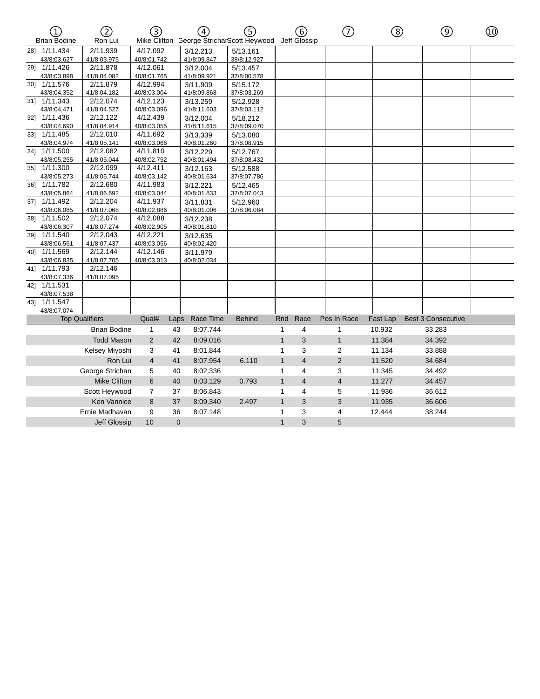| $\bigcap$<br><b>Brian Bodine</b> | 2<br>Ron Lui          | ③<br>Mike Clifton |          | $\left( \frac{1}{4} \right)$ | G)<br><b>George StricharScott Heywood</b> |              | 6<br>Jeff Glossip | ⑦                        | (8)      | (ඉ                        | ൹ |
|----------------------------------|-----------------------|-------------------|----------|------------------------------|-------------------------------------------|--------------|-------------------|--------------------------|----------|---------------------------|---|
| 28] 1/11.434                     | 2/11.939              | 4/17.092          |          | 3/12.213                     | 5/13.161                                  |              |                   |                          |          |                           |   |
| 43/8:03.627                      | 41/8:03.975           | 40/8:01.742       |          | 41/8:09.847                  | 38/8:12.927                               |              |                   |                          |          |                           |   |
| 29] 1/11.426                     | 2/11.878              | 4/12.061          |          | 3/12.004                     | 5/13.457                                  |              |                   |                          |          |                           |   |
| 43/8:03.898                      | 41/8:04.082           | 40/8:01.765       |          | 41/8:09.921                  | 37/8:00.578                               |              |                   |                          |          |                           |   |
| 30] 1/11.576                     | 2/11.879              | 4/12.994          |          | 3/11.909                     | 5/15.172                                  |              |                   |                          |          |                           |   |
| 43/8:04.352                      | 41/8:04.182           | 40/8:03.004       |          | 41/8:09.868                  | 37/8:03.269                               |              |                   |                          |          |                           |   |
| 31] 1/11.343                     | 2/12.074              | 4/12.123          |          | 3/13.259                     | 5/12.928                                  |              |                   |                          |          |                           |   |
| 43/8:04.471                      | 41/8:04.527           | 40/8:03.096       |          | 41/8:11.603                  | 37/8:03.112                               |              |                   |                          |          |                           |   |
| 32] 1/11.436                     | 2/12.122              | 4/12.439          |          | 3/12.004                     | 5/18.212                                  |              |                   |                          |          |                           |   |
| 43/8:04.690                      | 41/8:04.914           | 40/8:03.055       |          | 41/8:11.615                  | 37/8:09.070                               |              |                   |                          |          |                           |   |
| 33] 1/11.485                     | 2/12.010              | 4/11.692          |          | 3/13.339                     | 5/13.080                                  |              |                   |                          |          |                           |   |
| 43/8:04.974                      | 41/8:05.141           | 40/8:03.066       |          | 40/8:01.260                  | 37/8:08.915                               |              |                   |                          |          |                           |   |
| 34] 1/11.500                     | 2/12.082              | 4/11.810          |          | 3/12.229                     | 5/12.767                                  |              |                   |                          |          |                           |   |
| 43/8:05.255                      | 41/8:05.044           | 40/8:02.752       |          | 40/8:01.494                  | 37/8:08.432                               |              |                   |                          |          |                           |   |
| 35] 1/11.300                     | 2/12.099              | 4/12.411          |          | 3/12.163                     | 5/12.588                                  |              |                   |                          |          |                           |   |
| 43/8:05.273                      | 41/8:05.744           | 40/8:03.142       |          | 40/8:01.634                  | 37/8:07.786                               |              |                   |                          |          |                           |   |
| 36] 1/11.782                     | 2/12.680              | 4/11.983          |          | 3/12.221                     | 5/12.465                                  |              |                   |                          |          |                           |   |
| 43/8:05.864                      | 41/8:06.692           | 40/8:03.044       |          | 40/8:01.833                  | 37/8:07.043                               |              |                   |                          |          |                           |   |
| 37] 1/11.492                     | 2/12.204              | 4/11.937          |          | 3/11.831                     | 5/12.960                                  |              |                   |                          |          |                           |   |
| 43/8:06.085                      | 41/8:07.068           | 40/8:02.886       |          | 40/8:01.006                  | 37/8:06.084                               |              |                   |                          |          |                           |   |
| 381 1/11.502                     | 2/12.074              | 4/12.088          |          | 3/12.238                     |                                           |              |                   |                          |          |                           |   |
| 43/8:06.307                      | 41/8:07.274           | 40/8:02.905       |          | 40/8:01.810                  |                                           |              |                   |                          |          |                           |   |
| 39] 1/11.540                     | 2/12.043              | 4/12.221          |          | 3/12.635                     |                                           |              |                   |                          |          |                           |   |
| 43/8:06.561                      | 41/8:07.437           | 40/8:03.056       |          | 40/8:02.420                  |                                           |              |                   |                          |          |                           |   |
| 40] 1/11.569                     | 2/12.144              | 4/12.146          |          | 3/11.979                     |                                           |              |                   |                          |          |                           |   |
| 43/8:06.835                      | 41/8:07.705           | 40/8:03.013       |          | 40/8:02.034                  |                                           |              |                   |                          |          |                           |   |
| 41] 1/11.793                     | 2/12.146              |                   |          |                              |                                           |              |                   |                          |          |                           |   |
| 43/8:07.336                      | 41/8:07.095           |                   |          |                              |                                           |              |                   |                          |          |                           |   |
| 42] 1/11.531                     |                       |                   |          |                              |                                           |              |                   |                          |          |                           |   |
| 43/8:07.538                      |                       |                   |          |                              |                                           |              |                   |                          |          |                           |   |
| 43] 1/11.547                     |                       |                   |          |                              |                                           |              |                   |                          |          |                           |   |
| 43/8:07.074                      |                       |                   |          |                              |                                           |              |                   |                          |          |                           |   |
|                                  | <b>Top Qualifiers</b> | Qual#             | Laps     | Race Time                    | <b>Behind</b>                             | Rnd          | Race              | Pos In Race              | Fast Lap | <b>Best 3 Consecutive</b> |   |
|                                  | <b>Brian Bodine</b>   | $\mathbf{1}$      | 43       | 8:07.744                     |                                           | 1            | 4                 | 1                        | 10.932   | 33.283                    |   |
|                                  | <b>Todd Mason</b>     | 2                 | 42       | 8:09.016                     |                                           | $\mathbf{1}$ | 3                 | $\mathbf{1}$             | 11.384   | 34.392                    |   |
|                                  | Kelsey Miyoshi        |                   |          | 8:01.844                     |                                           | 1            | 3                 |                          | 11.134   | 33.888                    |   |
|                                  |                       | 3                 | 41       |                              |                                           |              |                   | $\overline{2}$           |          |                           |   |
|                                  | Ron Lui               | $\overline{4}$    | 41       | 8:07.954                     | 6.110                                     | $\mathbf{1}$ | $\overline{4}$    | 2                        | 11.520   | 34.684                    |   |
|                                  | George Strichan       | 5                 | 40       | 8:02.336                     |                                           | 1            | 4                 | 3                        | 11.345   | 34.492                    |   |
|                                  | Mike Clifton          | 6                 | 40       | 8:03.129                     | 0.793                                     | $\mathbf{1}$ | $\overline{4}$    | $\overline{\mathcal{A}}$ | 11.277   | 34.457                    |   |
|                                  | Scott Heywood         | 7                 | 37       | 8:06.843                     |                                           | 1            | 4                 | 5                        | 11.936   | 36.612                    |   |
|                                  | <b>Ken Vannice</b>    | 8                 |          |                              | 2.497                                     | $\mathbf{1}$ | 3                 | 3                        | 11.935   | 36.606                    |   |
|                                  |                       |                   | 37       | 8:09.340                     |                                           |              |                   |                          |          |                           |   |
|                                  | Ernie Madhavan        | 9                 | 36       | 8:07.148                     |                                           | 1            | 3                 | 4                        | 12.444   | 38.244                    |   |
|                                  | <b>Jeff Glossip</b>   | 10                | $\Omega$ |                              |                                           | $\mathbf{1}$ | 3                 | 5                        |          |                           |   |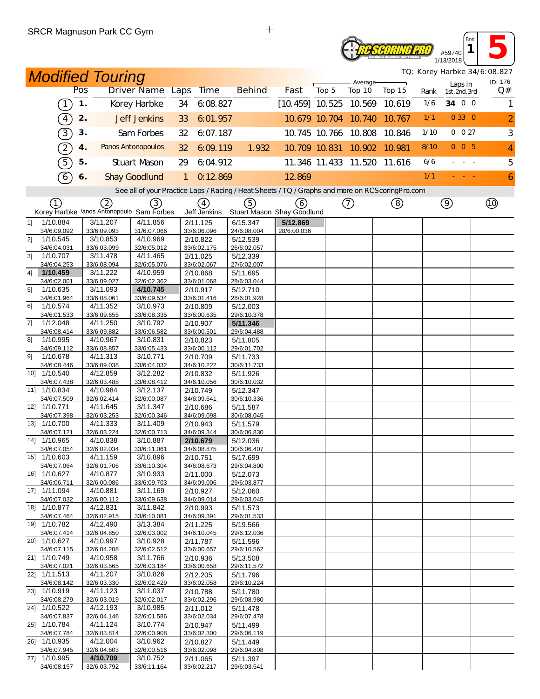# *Reseoring Pro* #59740 1/13/2018

**1 5** *TQ: Korey Harbke 34/6:08.827*

*Rnd*

| <b>Modified Touring</b><br><b>Driver Name Laps</b> |                              |               |                         |                                                                                                   |              |                                   |  |                         |                                   |       | Average-             |                             |      |                          | TQ: Korey Harbke 34/6:08.827<br>ID: 176 |                |
|----------------------------------------------------|------------------------------|---------------|-------------------------|---------------------------------------------------------------------------------------------------|--------------|-----------------------------------|--|-------------------------|-----------------------------------|-------|----------------------|-----------------------------|------|--------------------------|-----------------------------------------|----------------|
|                                                    |                              | Pos           |                         |                                                                                                   |              | <b>Time</b>                       |  | <b>Behind</b>           | Fast                              | Top 5 | Top 10               | Top 15                      | Rank | Laps in<br>1st, 2nd, 3rd |                                         | Q#             |
|                                                    | $\left(1\right)$             | $\mathbf 1$ . |                         | Korey Harbke                                                                                      | 34           | 6.08.827                          |  |                         | $[10.459]$ 10.525 10.569          |       |                      | 10.619                      | 1/6  | 34 0 0                   |                                         | 1              |
|                                                    | $\left( \overline{4}\right)$ | 2.            |                         | <b>Jeff Jenkins</b>                                                                               | 33           | 6:01.957                          |  |                         |                                   |       | 10.679 10.704 10.740 | 10.767                      | 1/1  | 0 33 0                   |                                         | $\overline{a}$ |
|                                                    | $\boxed{3}$                  | 3.            |                         | Sam Forbes                                                                                        | 32           | 6:07.187                          |  |                         |                                   |       | 10.745 10.766 10.808 | 10.846                      | 1/10 | 0 0 27                   |                                         | $\sqrt{3}$     |
|                                                    | 2)                           | 4.            |                         | Panos Antonopoulos                                                                                | 32           | 6:09:119                          |  | 1.932                   | 10.709 10.831                     |       | 10.902               | 10.981                      | 8/10 | 005                      |                                         | 4              |
|                                                    | 5)                           | 5.            |                         | <b>Stuart Mason</b>                                                                               | 29           | 6:04.912                          |  |                         |                                   |       |                      | 11.346 11.433 11.520 11.616 | 6/6  | - - -                    |                                         | 5              |
|                                                    | $\boxed{6}$                  | 6.            |                         | <b>Shay Goodlund</b>                                                                              | $\mathbf{1}$ | 0.12869                           |  |                         | 12.869                            |       |                      |                             | 1/1  |                          |                                         | $\mathbf{6}$   |
|                                                    |                              |               |                         | See all of your Practice Laps / Racing / Heat Sheets / TQ / Graphs and more on RCS coring Pro.com |              |                                   |  |                         |                                   |       |                      |                             |      |                          |                                         |                |
|                                                    | (1)                          |               | 2                       | (3)<br>Korey Harbke 'anos Antonopoulo Sam Forbes                                                  |              | $\left( 4\right)$<br>Jeff Jenkins |  | (5)                     | (6)<br>Stuart Mason Shay Goodlund |       | (7)                  | (8)                         |      | $\circledcirc$           |                                         |                |
| 11                                                 | $\overline{1/10.884}$        |               | 3/11.207                | 4/11.856                                                                                          |              | 2/11.125                          |  | 6/15.347                | 5/12.869                          |       |                      |                             |      |                          |                                         |                |
|                                                    | 34/6:09.092                  |               | 33/6:09.093             | 31/6:07.066                                                                                       |              | 33/6:06.096                       |  | 24/6:08.004             | 28/6:00.036                       |       |                      |                             |      |                          |                                         |                |
| 2]                                                 | 1/10.545                     |               | 3/10.853                | 4/10.969                                                                                          |              | 2/10.822                          |  | 5/12.539                |                                   |       |                      |                             |      |                          |                                         |                |
| 3 <sup>1</sup>                                     | 34/6:04.031                  |               | 33/6:03.099             | 32/6:05.012<br>4/11.465                                                                           |              | 33/6:02.175                       |  | 26/6:02.057             |                                   |       |                      |                             |      |                          |                                         |                |
|                                                    | 1/10.707<br>34/6:04.253      |               | 3/11.478<br>33/6:08.094 | 32/6:05.076                                                                                       |              | 2/11.025<br>33/6:02.067           |  | 5/12.339<br>27/6:02.007 |                                   |       |                      |                             |      |                          |                                         |                |
| 41                                                 | 1/10.459                     |               | 3/11.222                | 4/10.959                                                                                          |              | 2/10.868                          |  | 5/11.695                |                                   |       |                      |                             |      |                          |                                         |                |
|                                                    | 34/6:02.001                  |               | 33/6:09.027             | 32/6:02.362                                                                                       |              | 33/6:01.068                       |  | 28/6:03.044             |                                   |       |                      |                             |      |                          |                                         |                |
| 5]                                                 | 1/10.635                     |               | 3/11.093                | 4/10.745                                                                                          |              | 2/10.917                          |  | 5/12.710                |                                   |       |                      |                             |      |                          |                                         |                |
| 61                                                 | 34/6:01.964<br>1/10.574      |               | 33/6:08.061<br>4/11.352 | 33/6:09.534<br>3/10.973                                                                           |              | 33/6:01.416                       |  | 28/6:01.928             |                                   |       |                      |                             |      |                          |                                         |                |
|                                                    | 34/6:01.533                  |               | 33/6:09.655             | 33/6:08.335                                                                                       |              | 2/10.809<br>33/6:00.635           |  | 5/12.003<br>29/6:10.378 |                                   |       |                      |                             |      |                          |                                         |                |
| 7]                                                 | 1/12.048                     |               | 4/11.250                | 3/10.792                                                                                          |              | 2/10.907                          |  | 5/11.346                |                                   |       |                      |                             |      |                          |                                         |                |
|                                                    | 34/6:08.414                  |               | 33/6:09.882             | 33/6:06.582                                                                                       |              | 33/6:00.501                       |  | 29/6:04.488             |                                   |       |                      |                             |      |                          |                                         |                |
| 81                                                 | 1/10.995                     |               | 4/10.967                | 3/10.831                                                                                          |              | 2/10.823                          |  | 5/11.805                |                                   |       |                      |                             |      |                          |                                         |                |
|                                                    | 34/6:09.112                  |               | 33/6:08.857             | 33/6:05.433                                                                                       |              | 33/6:00.112                       |  | 29/6:01.702             |                                   |       |                      |                             |      |                          |                                         |                |
| 91                                                 | 1/10.678                     |               | 4/11.313                | 3/10.771                                                                                          |              | 2/10.709                          |  | 5/11.733                |                                   |       |                      |                             |      |                          |                                         |                |
|                                                    | 34/6:08.446<br>10] 1/10.540  |               | 33/6:09.038<br>4/12.859 | 33/6:04.032<br>3/12.282                                                                           |              | 34/6:10.222                       |  | 30/6:11.733             |                                   |       |                      |                             |      |                          |                                         |                |
|                                                    | 34/6:07.438                  |               | 32/6:03.488             | 33/6:08.412                                                                                       |              | 2/10.832<br>34/6:10.056           |  | 5/11.926<br>30/6:10.032 |                                   |       |                      |                             |      |                          |                                         |                |
|                                                    | 11] 1/10.834                 |               | 4/10.984                | 3/12.137                                                                                          |              | 2/10.749                          |  | 5/12.347                |                                   |       |                      |                             |      |                          |                                         |                |
|                                                    | 34/6:07.509                  |               | 32/6:02.414             | 32/6:00.087                                                                                       |              | 34/6:09.641                       |  | 30/6:10.336             |                                   |       |                      |                             |      |                          |                                         |                |
|                                                    | 12] 1/10.771                 |               | 4/11.645                | 3/11.347                                                                                          |              | 2/10.686                          |  | 5/11.587                |                                   |       |                      |                             |      |                          |                                         |                |
|                                                    | 34/6:07.398                  |               | 32/6:03.253             | 32/6:00.346                                                                                       |              | 34/6:09.098                       |  | 30/6:08.045             |                                   |       |                      |                             |      |                          |                                         |                |
|                                                    | 13] 1/10.700                 |               | 4/11.333                | 3/11.409                                                                                          |              | 2/10.943                          |  | 5/11.579                |                                   |       |                      |                             |      |                          |                                         |                |
|                                                    | 34/6:07.121<br>14] 1/10.965  |               | 32/6:03.224<br>4/10.838 | 32/6:00.713<br>3/10.887                                                                           |              | 34/6:09.344                       |  | 30/6:06.830             |                                   |       |                      |                             |      |                          |                                         |                |
|                                                    | 34/6:07.054                  |               | 32/6:02.034             | 33/6:11.061                                                                                       |              | 2/10.679<br>34/6:08.875           |  | 5/12.036<br>30/6:06.407 |                                   |       |                      |                             |      |                          |                                         |                |
|                                                    | 15] 1/10.603                 |               | 4/11.159                | 3/10.896                                                                                          |              | 2/10.751                          |  | 5/17.699                |                                   |       |                      |                             |      |                          |                                         |                |
|                                                    | 34/6:07 064                  |               | 32/6:01.706             | 33/6.10.304                                                                                       |              | 34/6:08.673                       |  | 29/6:04.800             |                                   |       |                      |                             |      |                          |                                         |                |
|                                                    | 16] 1/10.627                 |               | 4/10.877                | 3/10.933                                                                                          |              | 2/11.000                          |  | 5/12.073                |                                   |       |                      |                             |      |                          |                                         |                |
|                                                    | 34/6:06.711                  |               | 32/6:00.086             | 33/6:09.703                                                                                       |              | 34/6:09.006                       |  | 29/6:03.877             |                                   |       |                      |                             |      |                          |                                         |                |
|                                                    | 17] 1/11.094                 |               | 4/10.881                | 3/11.169<br>33/6:09.638                                                                           |              | 2/10.927                          |  | 5/12.060                |                                   |       |                      |                             |      |                          |                                         |                |
|                                                    | 34/6:07.032<br>18] 1/10.877  |               | 32/6:00.112<br>4/12.831 | 3/11.842                                                                                          |              | 34/6:09.014<br>2/10.993           |  | 29/6:03.045<br>5/11.573 |                                   |       |                      |                             |      |                          |                                         |                |
|                                                    | 34/6:07.464                  |               | 32/6:02.915             | 33/6:10.081                                                                                       |              | 34/6:09.391                       |  | 29/6:01.533             |                                   |       |                      |                             |      |                          |                                         |                |
|                                                    | 19] 1/10.782                 |               | 4/12.490                | 3/13.384                                                                                          |              | 2/11.225                          |  | 5/19.566                |                                   |       |                      |                             |      |                          |                                         |                |
|                                                    | 34/6:07.414                  |               | 32/6:04.850             | 32/6:03.002                                                                                       |              | 34/6:10.045                       |  | 29/6:12.036             |                                   |       |                      |                             |      |                          |                                         |                |
|                                                    | 20] 1/10.627                 |               | 4/10.997                | 3/10.928                                                                                          |              | 2/11.787                          |  | 5/11.596                |                                   |       |                      |                             |      |                          |                                         |                |
|                                                    | 34/6:07.115<br>21] 1/10.749  |               | 32/6:04.208<br>4/10.958 | 32/6:02.512<br>3/11.766                                                                           |              | 33/6:00.657<br>2/10.936           |  | 29/6:10.562<br>5/13.508 |                                   |       |                      |                             |      |                          |                                         |                |
|                                                    | 34/6:07.021                  |               | 32/6:03.565             | 32/6:03.184                                                                                       |              | 33/6:00.658                       |  | 29/6:11.572             |                                   |       |                      |                             |      |                          |                                         |                |
|                                                    | 22] 1/11.513                 |               | 4/11.207                | 3/10.826                                                                                          |              | 2/12.205                          |  | 5/11.796                |                                   |       |                      |                             |      |                          |                                         |                |
|                                                    | 34/6:08.142                  |               | 32/6:03.330             | 32/6:02.429                                                                                       |              | 33/6:02.058                       |  | 29/6:10.224             |                                   |       |                      |                             |      |                          |                                         |                |
|                                                    | 23] 1/10.919                 |               | 4/11.123                | 3/11.037                                                                                          |              | 2/10.788                          |  | 5/11.780                |                                   |       |                      |                             |      |                          |                                         |                |
|                                                    | 34/6:08.279                  |               | 32/6:03.019             | 32/6:02.017                                                                                       |              | 33/6:02.296                       |  | 29/6:08.980             |                                   |       |                      |                             |      |                          |                                         |                |
|                                                    | 24] 1/10.522<br>34/6:07.837  |               | 4/12.193<br>32/6:04.146 | 3/10.985<br>32/6:01.586                                                                           |              | 2/11.012<br>33/6:02.034           |  | 5/11.478<br>29/6:07.478 |                                   |       |                      |                             |      |                          |                                         |                |
|                                                    | 25] 1/10.784                 |               | 4/11.124                | 3/10.774                                                                                          |              | 2/10.947                          |  | 5/11.499                |                                   |       |                      |                             |      |                          |                                         |                |
|                                                    | 34/6:07.784                  |               | 32/6:03.814             | 32/6:00.908                                                                                       |              | 33/6:02.300                       |  | 29/6:06.119             |                                   |       |                      |                             |      |                          |                                         |                |
|                                                    | 26] 1/10.935                 |               | 4/12.004                | 3/10.962                                                                                          |              | 2/10.827                          |  | 5/11.449                |                                   |       |                      |                             |      |                          |                                         |                |
|                                                    | 34/6:07.945                  |               | 32/6:04.603             | 32/6:00.516                                                                                       |              | 33/6:02.098                       |  | 29/6:04.808             |                                   |       |                      |                             |      |                          |                                         |                |
|                                                    | 27] 1/10.995                 |               | 4/10.709                | 3/10.752                                                                                          |              | 2/11.065                          |  | 5/11.397                |                                   |       |                      |                             |      |                          |                                         |                |
|                                                    | 34/6:08.157                  |               | 32/6:03.792             | 33/6:11.164                                                                                       |              | 33/6:02.217                       |  | 29/6:03.541             |                                   |       |                      |                             |      |                          |                                         |                |

 $\ddot{+}$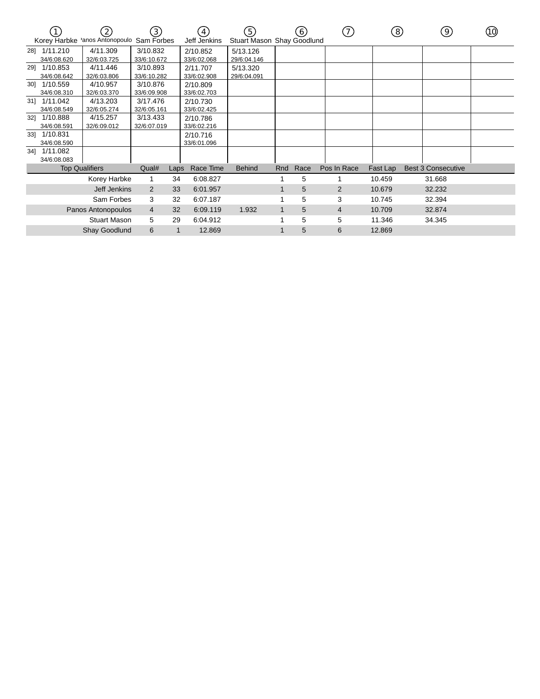|     | Korey Harbke | $\left( 2\right)$<br>'anos Antonopoulo | $\left(3\right)$<br>Sam Forbes |      | $\left 4\right\rangle$<br>Jeff Jenkins | (5)<br>Stuart Mason Shay Goodlund |     | 6    | (7)            | $\left(8\right)$ | 9)                        | 10) |
|-----|--------------|----------------------------------------|--------------------------------|------|----------------------------------------|-----------------------------------|-----|------|----------------|------------------|---------------------------|-----|
|     | 28] 1/11.210 | 4/11.309                               | 3/10.832                       |      | 2/10.852                               | 5/13.126                          |     |      |                |                  |                           |     |
|     | 34/6:08.620  | 32/6:03.725                            | 33/6:10.672                    |      | 33/6:02.068                            | 29/6:04.146                       |     |      |                |                  |                           |     |
| 29] | 1/10.853     | 4/11.446                               | 3/10.893                       |      | 2/11.707                               | 5/13.320                          |     |      |                |                  |                           |     |
|     | 34/6:08.642  | 32/6:03.806                            | 33/6:10.282                    |      | 33/6:02.908                            | 29/6:04.091                       |     |      |                |                  |                           |     |
| 30] | 1/10.559     | 4/10.957                               | 3/10.876                       |      | 2/10.809                               |                                   |     |      |                |                  |                           |     |
|     | 34/6:08.310  | 32/6:03.370                            | 33/6:09.908                    |      | 33/6:02.703                            |                                   |     |      |                |                  |                           |     |
| 31] | 1/11.042     | 4/13.203                               | 3/17.476                       |      | 2/10.730                               |                                   |     |      |                |                  |                           |     |
|     | 34/6:08.549  | 32/6:05.274                            | 32/6:05.161                    |      | 33/6:02.425                            |                                   |     |      |                |                  |                           |     |
| 321 | 1/10.888     | 4/15.257                               | 3/13.433                       |      | 2/10.786                               |                                   |     |      |                |                  |                           |     |
|     | 34/6:08.591  | 32/6:09.012                            | 32/6:07.019                    |      | 33/6:02.216                            |                                   |     |      |                |                  |                           |     |
| 331 | 1/10.831     |                                        |                                |      | 2/10.716                               |                                   |     |      |                |                  |                           |     |
|     | 34/6:08.590  |                                        |                                |      | 33/6:01.096                            |                                   |     |      |                |                  |                           |     |
| 34] | 1/11.082     |                                        |                                |      |                                        |                                   |     |      |                |                  |                           |     |
|     | 34/6:08.083  |                                        |                                |      |                                        |                                   |     |      |                |                  |                           |     |
|     |              | <b>Top Qualifiers</b>                  | Qual#                          | Laps | Race Time                              | <b>Behind</b>                     | Rnd | Race | Pos In Race    | Fast Lap         | <b>Best 3 Consecutive</b> |     |
|     |              | Korey Harbke                           |                                | 34   | 6:08.827                               |                                   |     | 5    |                | 10.459           | 31.668                    |     |
|     |              | Jeff Jenkins                           | 2                              | 33   | 6:01.957                               |                                   |     | 5    | $\overline{2}$ | 10.679           | 32.232                    |     |
|     |              | Sam Forbes                             | 3                              | 32   | 6:07.187                               |                                   |     | 5    | 3              | 10.745           | 32.394                    |     |
|     |              | Panos Antonopoulos                     | $\overline{4}$                 | 32   | 6:09.119                               | 1.932                             | 1   | 5    | 4              | 10.709           | 32.874                    |     |
|     |              | <b>Stuart Mason</b>                    | 5                              | 29   | 6:04.912                               |                                   |     | 5    | 5              | 11.346           | 34.345                    |     |
|     |              | <b>Shay Goodlund</b>                   | 6                              | 1    | 12.869                                 |                                   |     | 5    | 6              | 12.869           |                           |     |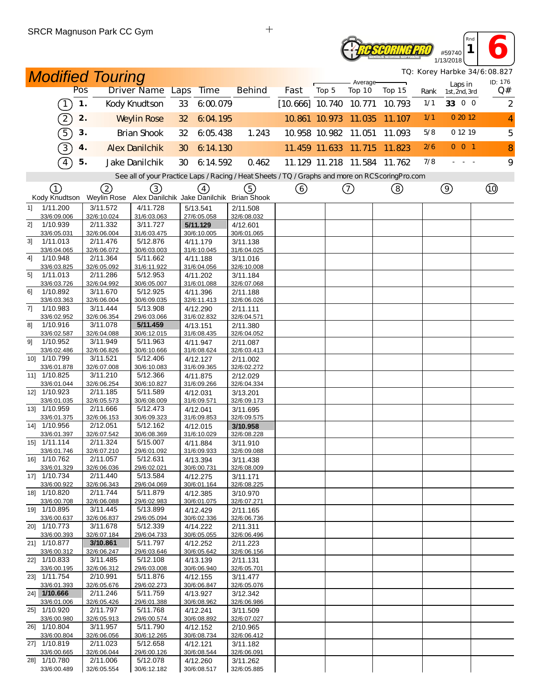## **Reseoring Pro** #59740 1/13/2018

*TQ: Korey Harbke 34/6:08.827*

*Rnd* **1 6** 

| <b>Modified Touring</b>       |     |                         |                                                                                                   |                 |                         |  |                         |                          | Average- |                             |        |      | TQ: Korey Harbke 34/6:08.827<br>ID: 176 |                |
|-------------------------------|-----|-------------------------|---------------------------------------------------------------------------------------------------|-----------------|-------------------------|--|-------------------------|--------------------------|----------|-----------------------------|--------|------|-----------------------------------------|----------------|
|                               | Pos |                         | <b>Driver Name Laps</b>                                                                           |                 | <b>Time</b>             |  | <b>Behind</b>           | Fast                     | Top 5    | Top 10                      | Top 15 | Rank | Laps in<br>1st, 2nd, 3rd                | Q#             |
| $\left(1\right)$              | 1.  |                         | Kody Knudtson                                                                                     | 33              | 6:00.079                |  |                         | $[10.666]$ 10.740 10.771 |          |                             | 10.793 | 1/1  | 33 0 0                                  | $\overline{2}$ |
| $\Large{\mathbb{2}}$          | 2.  |                         | <b>Weylin Rose</b>                                                                                | 32 <sup>2</sup> | 6:04.195                |  |                         |                          |          | 10.861 10.973 11.035        | 11.107 | 1/1  | 0 20 12                                 | $\overline{4}$ |
| $\widehat{5}$                 | 3.  |                         | <b>Brian Shook</b>                                                                                | 32              | 6:05.438                |  | 1.243                   |                          |          | 10.958 10.982 11.051        | 11.093 | 5/8  | 0 12 19                                 | 5              |
| $\boxed{3}$                   | 4.  |                         | <b>Alex Danilchik</b>                                                                             | 30              | 6:14.130                |  |                         |                          |          | 11.459 11.633 11.715        | 11.823 | 2/6  | $0$ 0 1                                 | 8              |
| $\sqrt{4}$                    | 5.  |                         | Jake Danilchik                                                                                    | 30              | 6:14.592                |  | 0.462                   |                          |          | 11.129 11.218 11.584 11.762 |        | 7/8  | $\sim 10^{-1}$ m $^{-1}$                | 9              |
|                               |     |                         | See all of your Practice Laps / Racing / Heat Sheets / TQ / Graphs and more on RCS coring Pro.com |                 |                         |  |                         |                          |          |                             |        |      |                                         |                |
| (1)<br>Kody Knudtson          |     | (2)                     | 3)<br>Weylin Rose Alex Danilchik Jake Danilchik Brian Shook                                       |                 | $\left(4\right)$        |  | (5)                     | ⊙                        |          | $\circled{1}$               | (8)    |      | $\circledcirc$                          |                |
| 1/11.200<br>11                |     | 3/11.572                | 4/11.728                                                                                          |                 | 5/13.541                |  | 2/11.508                |                          |          |                             |        |      |                                         |                |
| 33/6:09.006<br>1/10.939<br>2] |     | 32/6:10.024<br>2/11.332 | 31/6:03.063<br>3/11.727                                                                           |                 | 27/6:05.058<br>5/11.129 |  | 32/6:08.032<br>4/12.601 |                          |          |                             |        |      |                                         |                |
| 33/6:05.031                   |     | 32/6:06.004             | 31/6:03.475                                                                                       |                 | 30/6:10.005             |  | 30/6:01.065             |                          |          |                             |        |      |                                         |                |
| 1/11.013<br>31<br>33/6:04.065 |     | 2/11.476<br>32/6:06.072 | 5/12.876<br>30/6:03.003                                                                           |                 | 4/11.179<br>31/6:10.045 |  | 3/11.138<br>31/6:04.025 |                          |          |                             |        |      |                                         |                |
| 1/10.948<br>4]                |     | 2/11.364                | 5/11.662                                                                                          |                 | 4/11.188                |  | 3/11.016                |                          |          |                             |        |      |                                         |                |
| 33/6:03.825                   |     | 32/6:05.092             | 31/6:11.922                                                                                       |                 | 31/6:04.056             |  | 32/6:10.008             |                          |          |                             |        |      |                                         |                |
| 1/11.013<br>51<br>33/6:03.726 |     | 2/11.286<br>32/6:04.992 | 5/12.953<br>30/6:05.007                                                                           |                 | 4/11.202<br>31/6:01.088 |  | 3/11.184<br>32/6:07.068 |                          |          |                             |        |      |                                         |                |
| 1/10.892<br>61                |     | 3/11.670                | 5/12.925                                                                                          |                 | 4/11.396                |  | 2/11.188                |                          |          |                             |        |      |                                         |                |
| 33/6:03.363                   |     | 32/6:06.004             | 30/6:09.035                                                                                       |                 | 32/6:11.413             |  | 32/6:06.026             |                          |          |                             |        |      |                                         |                |
| 7]<br>1/10.983                |     | 3/11.444                | 5/13.908                                                                                          |                 | 4/12.290                |  | 2/11.111                |                          |          |                             |        |      |                                         |                |
| 33/6:02.952<br>1/10.916<br>81 |     | 32/6:06.354<br>3/11.078 | 29/6:03.066<br>5/11.459                                                                           |                 | 31/6:02.832<br>4/13.151 |  | 32/6:04.571<br>2/11.380 |                          |          |                             |        |      |                                         |                |
| 33/6:02.587                   |     | 32/6:04.088             | 30/6:12.015                                                                                       |                 | 31/6:08.435             |  | 32/6:04.052             |                          |          |                             |        |      |                                         |                |
| 1/10.952<br>91                |     | 3/11.949                | 5/11.963                                                                                          |                 | 4/11.947                |  | 2/11.087                |                          |          |                             |        |      |                                         |                |
| 33/6:02.486<br>10] 1/10.799   |     | 32/6:06.826<br>3/11.521 | 30/6:10.666<br>5/12.406                                                                           |                 | 31/6:08.624<br>4/12.127 |  | 32/6:03.413             |                          |          |                             |        |      |                                         |                |
| 33/6:01.878                   |     | 32/6:07.008             | 30/6:10.083                                                                                       |                 | 31/6:09.365             |  | 2/11.002<br>32/6:02.272 |                          |          |                             |        |      |                                         |                |
| 11] 1/10.825                  |     | 3/11.210                | 5/12.366                                                                                          |                 | 4/11.875                |  | 2/12.029                |                          |          |                             |        |      |                                         |                |
| 33/6:01.044                   |     | 32/6:06.254             | 30/6:10.827                                                                                       |                 | 31/6:09.266             |  | 32/6:04.334             |                          |          |                             |        |      |                                         |                |
| 12] 1/10.923<br>33/6:01.035   |     | 2/11.185<br>32/6:05.573 | 5/11.589<br>30/6:08.009                                                                           |                 | 4/12.031<br>31/6:09.571 |  | 3/13.201<br>32/6:09.173 |                          |          |                             |        |      |                                         |                |
| 13] 1/10.959                  |     | 2/11.666                | 5/12.473                                                                                          |                 | 4/12.041                |  | 3/11.695                |                          |          |                             |        |      |                                         |                |
| 33/6:01.375                   |     | 32/6:06.153             | 30/6:09.323                                                                                       |                 | 31/6:09.853             |  | 32/6:09.575             |                          |          |                             |        |      |                                         |                |
| 14] 1/10.956<br>33/6:01.397   |     | 2/12.051<br>32/6:07.542 | 5/12.162<br>30/6:08.369                                                                           |                 | 4/12.015                |  | 3/10.958<br>32/6:08.228 |                          |          |                             |        |      |                                         |                |
| 15] 1/11.114                  |     | 2/11.324                | 5/15.007                                                                                          |                 | 31/6:10.029<br>4/11.884 |  | 3/11.910                |                          |          |                             |        |      |                                         |                |
| 33/6:01.746                   |     | 32/6:07.210             | 29/6:01.092                                                                                       |                 | 31/6:09.933             |  | 32/6:09.088             |                          |          |                             |        |      |                                         |                |
| 16] 1/10.762                  |     | 2/11.057                | 5/12.631                                                                                          |                 | 4/13.394                |  | 3/11.438                |                          |          |                             |        |      |                                         |                |
| 33/6:01.329<br>17] 1/10.734   |     | 32/6:06.036<br>2/11.440 | 29/6:02.021<br>5/13.584                                                                           |                 | 30/6:00.731<br>4/12.275 |  | 32/6:08.009<br>3/11.171 |                          |          |                             |        |      |                                         |                |
| 33/6:00.922                   |     | 32/6:06.343             | 29/6:04.069                                                                                       |                 | 30/6:01.164             |  | 32/6:08.225             |                          |          |                             |        |      |                                         |                |
| 18] 1/10.820                  |     | 2/11.744                | 5/11.879                                                                                          |                 | 4/12.385                |  | 3/10.970                |                          |          |                             |        |      |                                         |                |
| 33/6:00.708<br>19] 1/10.895   |     | 32/6:06.088<br>3/11.445 | 29/6:02.983<br>5/13.899                                                                           |                 | 30/6:01.075<br>4/12.429 |  | 32/6:07.271<br>2/11.165 |                          |          |                             |        |      |                                         |                |
| 33/6:00.637                   |     | 32/6:06.837             | 29/6:05.094                                                                                       |                 | 30/6:02.336             |  | 32/6:06.736             |                          |          |                             |        |      |                                         |                |
| 20] 1/10.773                  |     | 3/11.678                | 5/12.339                                                                                          |                 | 4/14.222                |  | 2/11.311                |                          |          |                             |        |      |                                         |                |
| 33/6:00.393                   |     | 32/6:07.184<br>3/10.861 | 29/6:04.733                                                                                       |                 | 30/6:05.055             |  | 32/6:06.496             |                          |          |                             |        |      |                                         |                |
| 21] 1/10.877<br>33/6:00.312   |     | 32/6:06.247             | 5/11.797<br>29/6:03.646                                                                           |                 | 4/12.252<br>30/6:05.642 |  | 2/11.223<br>32/6:06.156 |                          |          |                             |        |      |                                         |                |
| 22] 1/10.833                  |     | 3/11.485                | 5/12.108                                                                                          |                 | 4/13.139                |  | 2/11.131                |                          |          |                             |        |      |                                         |                |
| 33/6:00.195                   |     | 32/6:06.312             | 29/6:03.008                                                                                       |                 | 30/6:06.940             |  | 32/6:05.701             |                          |          |                             |        |      |                                         |                |
| 23] 1/11.754<br>33/6:01.393   |     | 2/10.991<br>32/6:05.676 | 5/11.876<br>29/6:02.273                                                                           |                 | 4/12.155<br>30/6:06.847 |  | 3/11.477<br>32/6:05.076 |                          |          |                             |        |      |                                         |                |
| 24] 1/10.666                  |     | 2/11.246                | 5/11.759                                                                                          |                 | 4/13.927                |  | 3/12.342                |                          |          |                             |        |      |                                         |                |
| 33/6:01.006                   |     | 32/6:05.426             | 29/6:01.388                                                                                       |                 | 30/6:08.962             |  | 32/6:06.986             |                          |          |                             |        |      |                                         |                |
| 25] 1/10.920<br>33/6:00.980   |     | 2/11.797<br>32/6:05.913 | 5/11.768<br>29/6:00.574                                                                           |                 | 4/12.241<br>30/6:08.892 |  | 3/11.509<br>32/6:07.027 |                          |          |                             |        |      |                                         |                |
| 26] 1/10.804                  |     | 3/11.957                | 5/11.790                                                                                          |                 | 4/12.152                |  | 2/10.965                |                          |          |                             |        |      |                                         |                |
| 33/6:00.804                   |     | 32/6:06.056             | 30/6:12.265                                                                                       |                 | 30/6:08.734             |  | 32/6:06.412             |                          |          |                             |        |      |                                         |                |
| 27] 1/10.819                  |     | 2/11.023                | 5/12.658                                                                                          |                 | 4/12.121                |  | 3/11.182                |                          |          |                             |        |      |                                         |                |
| 33/6:00.665<br>28] 1/10.780   |     | 32/6:06.044<br>2/11.006 | 29/6:00.126<br>5/12.078                                                                           |                 | 30/6:08.544<br>4/12.260 |  | 32/6:06.091<br>3/11.262 |                          |          |                             |        |      |                                         |                |
| 33/6:00.489                   |     | 32/6:05.554             | 30/6:12.182                                                                                       |                 | 30/6:08.517             |  | 32/6:05.885             |                          |          |                             |        |      |                                         |                |

 $\qquad \qquad +$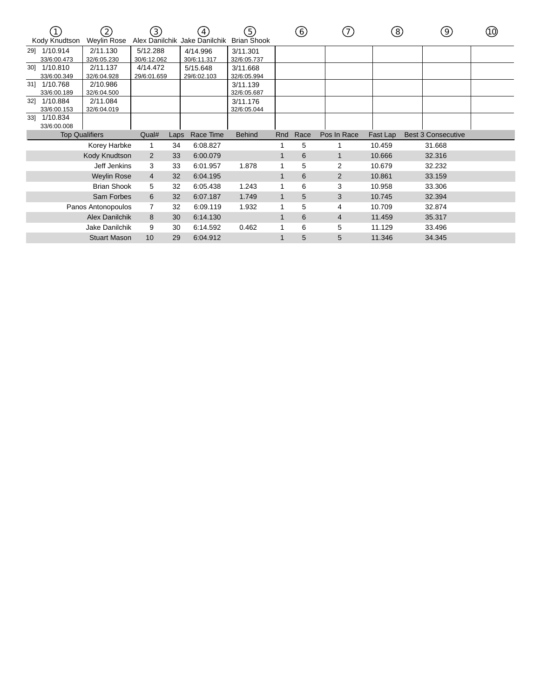|     | Kody Knudtson           | $\left[ 2\right]$<br>Weylin Rose | $\left(3\right)$        |      | 4<br>Alex Danilchik Jake Danilchik | (5)<br><b>Brian Shook</b> |     | 6    | (7)            | ි        | 9)                        | (10) |
|-----|-------------------------|----------------------------------|-------------------------|------|------------------------------------|---------------------------|-----|------|----------------|----------|---------------------------|------|
| 291 | 1/10.914<br>33/6:00.473 | 2/11.130<br>32/6:05.230          | 5/12.288<br>30/6:12.062 |      | 4/14.996<br>30/6:11.317            | 3/11.301<br>32/6:05.737   |     |      |                |          |                           |      |
| 301 | 1/10.810<br>33/6:00.349 | 2/11.137<br>32/6:04.928          | 4/14.472<br>29/6:01.659 |      | 5/15.648<br>29/6:02.103            | 3/11.668<br>32/6:05.994   |     |      |                |          |                           |      |
| 31] | 1/10.768<br>33/6:00.189 | 2/10.986<br>32/6:04.500          |                         |      |                                    | 3/11.139<br>32/6:05.687   |     |      |                |          |                           |      |
| 32] | 1/10.884<br>33/6:00.153 | 2/11.084<br>32/6:04.019          |                         |      |                                    | 3/11.176<br>32/6:05.044   |     |      |                |          |                           |      |
| 331 | 1/10.834<br>33/6:00.008 |                                  |                         |      |                                    |                           |     |      |                |          |                           |      |
|     | <b>Top Qualifiers</b>   |                                  | Qual#                   | Laps | Race Time                          | <b>Behind</b>             | Rnd | Race | Pos In Race    | Fast Lap | <b>Best 3 Consecutive</b> |      |
|     |                         | Korey Harbke                     | 1                       | 34   | 6:08.827                           |                           |     | 5    |                | 10.459   | 31.668                    |      |
|     |                         | Kody Knudtson                    | 2                       | 33   | 6:00.079                           |                           |     | 6    | 1              | 10.666   | 32.316                    |      |
|     |                         | Jeff Jenkins                     | 3                       | 33   | 6:01.957                           | 1.878                     |     | 5    | 2              | 10.679   | 32.232                    |      |
|     |                         | <b>Weylin Rose</b>               | $\overline{4}$          | 32   | 6:04.195                           |                           | 1   | 6    | $\overline{2}$ | 10.861   | 33.159                    |      |
|     |                         | <b>Brian Shook</b>               | 5                       | 32   | 6:05.438                           | 1.243                     |     | 6    | 3              | 10.958   | 33.306                    |      |
|     |                         | Sam Forbes                       | 6                       | 32   | 6:07.187                           | 1.749                     | 1   | 5    | 3              | 10.745   | 32.394                    |      |
|     |                         | Panos Antonopoulos               |                         | 32   | 6:09.119                           | 1.932                     |     | 5    | 4              | 10.709   | 32.874                    |      |
|     |                         | <b>Alex Danilchik</b>            | 8                       | 30   | 6:14.130                           |                           | 1   | 6    | 4              | 11.459   | 35.317                    |      |
|     |                         | Jake Danilchik                   | 9                       | 30   | 6:14.592                           | 0.462                     |     | 6    | 5              | 11.129   | 33.496                    |      |
|     |                         | <b>Stuart Mason</b>              | 10                      | 29   | 6:04.912                           |                           |     | 5    | 5              | 11.346   | 34.345                    |      |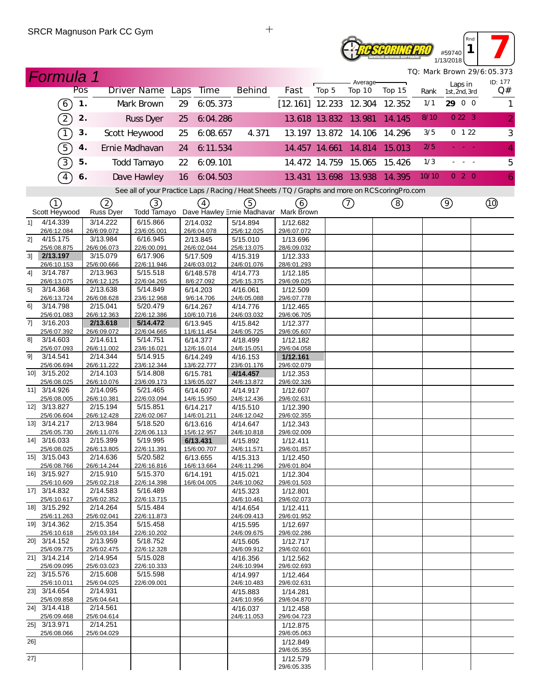# **ROSCORING PRO** #59740 1/13/2018

*TQ: Mark Brown 29/6:05.373*

*Rnd* **1 1** 

|                                                                                                   | <b>Formula 1</b>                                                                                        |               |                         |                         |    |                          |  |                                       |                         |       |     |                      |                             |       |                          |  | TQ: Mark Brown 29/6:05.373<br>ID: 177 |
|---------------------------------------------------------------------------------------------------|---------------------------------------------------------------------------------------------------------|---------------|-------------------------|-------------------------|----|--------------------------|--|---------------------------------------|-------------------------|-------|-----|----------------------|-----------------------------|-------|--------------------------|--|---------------------------------------|
|                                                                                                   |                                                                                                         | Pos           |                         | Driver Name Laps        |    | <b>Time</b>              |  | <b>Behind</b>                         | Fast                    | Top 5 |     | Average-<br>Top 10   | Top 15                      | Rank  | Laps in<br>1st, 2nd, 3rd |  | Q#                                    |
|                                                                                                   | $\left(6\right)$                                                                                        | $\mathbf 1$ . |                         | Mark Brown              | 29 | 6:05.373                 |  |                                       | [12.161] 12.233 12.304  |       |     |                      | 12.352                      | 1/1   | 29 0 0                   |  | 1                                     |
|                                                                                                   | $\mathfrak{D}% _{T}=\mathfrak{D}_{T}\!\left( a,b\right) ,\ \mathfrak{D}_{T}=C_{T}\!\left( a,b\right) ,$ | 2.            |                         | <b>Russ Dyer</b>        | 25 | 6:04.286                 |  |                                       | 13.618 13.832 13.981    |       |     |                      | 14.145                      | 8/10  | 0223                     |  | $\overline{2}$                        |
|                                                                                                   | $\bigcap$                                                                                               | 3.            |                         | Scott Heywood           | 25 | 6:08.657                 |  | 4.371                                 |                         |       |     |                      | 13.197 13.872 14.106 14.296 | 3/5   | 0 122                    |  | $\sqrt{3}$                            |
|                                                                                                   | 5)                                                                                                      | 4.            |                         | Ernie Madhavan          | 24 | 6:11.534                 |  |                                       |                         |       |     | 14.457 14.661 14.814 | 15.013                      | 2/5   | <b>State State</b>       |  | $\overline{4}$                        |
|                                                                                                   | 3)                                                                                                      | 5.            |                         | Todd Tamayo             | 22 | 6:09:101                 |  |                                       |                         |       |     | 14.472 14.759 15.065 | 15.426                      | 1/3   |                          |  | 5                                     |
|                                                                                                   | $\boxed{4}$                                                                                             | 6.            |                         | Dave Hawley             | 16 | 6:04.503                 |  |                                       |                         |       |     |                      | 13.431 13.698 13.938 14.395 | 10/10 | 020                      |  | 6                                     |
| See all of your Practice Laps / Racing / Heat Sheets / TQ / Graphs and more on RCS coring Pro.com |                                                                                                         |               |                         |                         |    |                          |  |                                       |                         |       |     |                      |                             |       |                          |  |                                       |
|                                                                                                   | (1)                                                                                                     |               | 2                       | $\circled{3}$           |    | (4)                      |  | $\circleds$                           | (6)                     |       | (7) |                      | (8)                         |       | $\circledcirc$           |  | $^{\circledR}$                        |
|                                                                                                   | Scott Heywood                                                                                           |               | Russ Dyer               | Todd Tamayo             |    |                          |  | Dave Hawley Ernie Madhavar Mark Brown |                         |       |     |                      |                             |       |                          |  |                                       |
| 11                                                                                                | 4/14.339<br>26/6:12.084                                                                                 |               | 3/14.222<br>26/6:09.072 | 6/15.866<br>23/6:05.001 |    | 2/14.032<br>26/6:04.078  |  | 5/14.894<br>25/6:12.025               | 1/12.682<br>29/6:07.072 |       |     |                      |                             |       |                          |  |                                       |
| 2]                                                                                                | 4/15.175                                                                                                |               | 3/13.984                | 6/16.945                |    | 2/13.845                 |  | 5/15.010                              | 1/13.696                |       |     |                      |                             |       |                          |  |                                       |
|                                                                                                   | 25/6:08.875                                                                                             |               | 26/6:06.073             | 22/6:00.091             |    | 26/6:02.044              |  | 25/6:13.075                           | 28/6:09.032             |       |     |                      |                             |       |                          |  |                                       |
| 3 <sup>1</sup>                                                                                    | 2/13.197                                                                                                |               | 3/15.079                | 6/17.906                |    | 5/17.509                 |  | 4/15.319                              | 1/12.333                |       |     |                      |                             |       |                          |  |                                       |
| 4]                                                                                                | 26/6:10.153<br>3/14.787                                                                                 |               | 25/6:00.666<br>2/13.963 | 22/6:11.946<br>5/15.518 |    | 24/6:03.012<br>6/148.578 |  | 24/6:01.076<br>4/14.773               | 28/6:01.293<br>1/12.185 |       |     |                      |                             |       |                          |  |                                       |
|                                                                                                   | 26/6:13.075                                                                                             |               | 26/6:12.125             | 22/6:04.265             |    | 8/6:27.092               |  | 25/6:15.375                           | 29/6:09.025             |       |     |                      |                             |       |                          |  |                                       |
| 5]                                                                                                | 3/14.368                                                                                                |               | 2/13.638                | 5/14.849                |    | 6/14.203                 |  | 4/16.061                              | 1/12.509                |       |     |                      |                             |       |                          |  |                                       |
|                                                                                                   | 26/6:13.724                                                                                             |               | 26/6:08.628             | 23/6:12.968             |    | 9/6:14.706               |  | 24/6:05.088                           | 29/6:07.778             |       |     |                      |                             |       |                          |  |                                       |
| 61                                                                                                | 3/14.798<br>25/6:01.083                                                                                 |               | 2/15.041<br>26/6:12.363 | 5/20.479<br>22/6:12.386 |    | 6/14.267<br>10/6:10.716  |  | 4/14.776<br>24/6:03.032               | 1/12.465<br>29/6:06.705 |       |     |                      |                             |       |                          |  |                                       |
| 7]                                                                                                | 3/16.203                                                                                                |               | 2/13.618                | 5/14.472                |    | 6/13.945                 |  | 4/15.842                              | 1/12.377                |       |     |                      |                             |       |                          |  |                                       |
|                                                                                                   | 25/6:07.392                                                                                             |               | 26/6:09.072             | 22/6:04.665             |    | 11/6:11.454              |  | 24/6:05.725                           | 29/6:05.607             |       |     |                      |                             |       |                          |  |                                       |
| 81                                                                                                | 3/14.603                                                                                                |               | 2/14.611                | 5/14.751                |    | 6/14.377                 |  | 4/18.499                              | 1/12.182                |       |     |                      |                             |       |                          |  |                                       |
|                                                                                                   | 25/6:07.093                                                                                             |               | 26/6:11.002             | 23/6:16.021             |    | 12/6:16.014              |  | 24/6:15.051                           | 29/6:04.058             |       |     |                      |                             |       |                          |  |                                       |
| 91                                                                                                | 3/14.541<br>25/6:06.694                                                                                 |               | 2/14.344<br>26/6:11.222 | 5/14.915<br>23/6:12.344 |    | 6/14.249<br>13/6:22.777  |  | 4/16.153<br>23/6:01.176               | 1/12.161<br>29/6:02.079 |       |     |                      |                             |       |                          |  |                                       |
|                                                                                                   | 10] 3/15.202                                                                                            |               | 2/14.103                | 5/14.808                |    | 6/15.781                 |  | 4/14.457                              | 1/12.353                |       |     |                      |                             |       |                          |  |                                       |
|                                                                                                   | 25/6:08.025                                                                                             |               | 26/6:10.076             | 23/6:09.173             |    | 13/6:05.027              |  | 24/6:13.872                           | 29/6:02.326             |       |     |                      |                             |       |                          |  |                                       |
|                                                                                                   | 11] 3/14.926                                                                                            |               | 2/14.095                | 5/21.465                |    | 6/14.607                 |  | 4/14.917                              | 1/12.607                |       |     |                      |                             |       |                          |  |                                       |
|                                                                                                   | 25/6:08.005                                                                                             |               | 26/6:10.381             | 22/6:03.094             |    | 14/6:15.950              |  | 24/6:12.436                           | 29/6:02.631             |       |     |                      |                             |       |                          |  |                                       |
|                                                                                                   | 12] 3/13.827<br>25/6:06.604                                                                             |               | 2/15.194<br>26/6:12.428 | 5/15.851<br>22/6:02.067 |    | 6/14.217<br>14/6:01.211  |  | 4/15.510<br>24/6:12.042               | 1/12.390<br>29/6:02.355 |       |     |                      |                             |       |                          |  |                                       |
|                                                                                                   | 13] 3/14.217                                                                                            |               | 2/13.984                | $\overline{5/18.520}$   |    | 6/13.616                 |  | 4/14.647                              | 1/12.343                |       |     |                      |                             |       |                          |  |                                       |
|                                                                                                   | 25/6:05.730                                                                                             |               | 26/6:11.076             | 22/6:06.113             |    | 15/6:12.957              |  | 24/6:10.818                           | 29/6:02.009             |       |     |                      |                             |       |                          |  |                                       |
|                                                                                                   | 14] 3/16.033                                                                                            |               | 2/15.399                | 5/19.995                |    | 6/13.431                 |  | 4/15.892                              | 1/12.411                |       |     |                      |                             |       |                          |  |                                       |
|                                                                                                   | 25/6:08.025<br>15] 3/15.043                                                                             |               | 26/6:13.805<br>2/14.636 | 22/6:11.391<br>5/20.582 |    | 15/6:00.707              |  | 24/6:11.571                           | 29/6:01.857             |       |     |                      |                             |       |                          |  |                                       |
|                                                                                                   | 25/6:08 766                                                                                             |               | 26/6:14.244             | 22/6.16.816             |    | 6/13.655<br>16/6.13664   |  | 4/15.313<br>24/6:11 296               | 1/12.450<br>29/6:01.804 |       |     |                      |                             |       |                          |  |                                       |
|                                                                                                   | 16] 3/15.927                                                                                            |               | 2/15.910                | 5/15.370                |    | 6/14.191                 |  | 4/15.021                              | 1/12.304                |       |     |                      |                             |       |                          |  |                                       |
|                                                                                                   | 25/6:10.609                                                                                             |               | 25/6:02.218             | 22/6:14.398             |    | 16/6:04.005              |  | 24/6:10.062                           | 29/6:01.503             |       |     |                      |                             |       |                          |  |                                       |
|                                                                                                   | 17] 3/14.832                                                                                            |               | 2/14.583                | 5/16.489                |    |                          |  | 4/15.323                              | 1/12.801                |       |     |                      |                             |       |                          |  |                                       |
|                                                                                                   | 25/6:10.617<br>18] 3/15.292                                                                             |               | 25/6:02.352<br>2/14.264 | 22/6:13.715<br>5/15.484 |    |                          |  | 24/6:10.461<br>4/14.654               | 29/6:02.073<br>1/12.411 |       |     |                      |                             |       |                          |  |                                       |
|                                                                                                   | 25/6:11.263                                                                                             |               | 25/6:02.041             | 22/6:11.873             |    |                          |  | 24/6:09.413                           | 29/6:01.952             |       |     |                      |                             |       |                          |  |                                       |
|                                                                                                   | 19] 3/14.362                                                                                            |               | 2/15.354                | 5/15.458                |    |                          |  | 4/15.595                              | 1/12.697                |       |     |                      |                             |       |                          |  |                                       |
|                                                                                                   | 25/6:10.618                                                                                             |               | 25/6:03.184             | 22/6:10.202             |    |                          |  | 24/6:09.675                           | 29/6:02.286             |       |     |                      |                             |       |                          |  |                                       |
|                                                                                                   | 20] 3/14.152                                                                                            |               | 2/13.959                | 5/18.752                |    |                          |  | 4/15.605                              | 1/12.717                |       |     |                      |                             |       |                          |  |                                       |
|                                                                                                   | 25/6:09.775<br>21] 3/14.214                                                                             |               | 25/6:02.475<br>2/14.954 | 22/6:12.328<br>5/15.028 |    |                          |  | 24/6:09.912<br>4/16.356               | 29/6:02.601<br>1/12.562 |       |     |                      |                             |       |                          |  |                                       |
|                                                                                                   | 25/6:09.095                                                                                             |               | 25/6:03.023             | 22/6:10.333             |    |                          |  | 24/6:10.994                           | 29/6:02.693             |       |     |                      |                             |       |                          |  |                                       |
|                                                                                                   | 22] 3/15.576                                                                                            |               | 2/15.608                | 5/15.598                |    |                          |  | 4/14.997                              | 1/12.464                |       |     |                      |                             |       |                          |  |                                       |
|                                                                                                   | 25/6:10.011                                                                                             |               | 25/6:04.025             | 22/6:09.001             |    |                          |  | 24/6:10.483                           | 29/6:02.631             |       |     |                      |                             |       |                          |  |                                       |
|                                                                                                   | 23] 3/14.654<br>25/6:09.858                                                                             |               | 2/14.931<br>25/6:04.641 |                         |    |                          |  | 4/15.883<br>24/6:10.956               | 1/14.281<br>29/6:04.870 |       |     |                      |                             |       |                          |  |                                       |
|                                                                                                   | 24] 3/14.418                                                                                            |               | 2/14.561                |                         |    |                          |  | 4/16.037                              | 1/12.458                |       |     |                      |                             |       |                          |  |                                       |
|                                                                                                   | 25/6:09.468                                                                                             |               | 25/6:04.614             |                         |    |                          |  | 24/6:11.053                           | 29/6:04.723             |       |     |                      |                             |       |                          |  |                                       |
|                                                                                                   | 25] 3/13.971                                                                                            |               | 2/14.251                |                         |    |                          |  |                                       | 1/12.875                |       |     |                      |                             |       |                          |  |                                       |
| 26]                                                                                               | 25/6:08.066                                                                                             |               | 25/6:04.029             |                         |    |                          |  |                                       | 29/6:05.063<br>1/12.849 |       |     |                      |                             |       |                          |  |                                       |
|                                                                                                   |                                                                                                         |               |                         |                         |    |                          |  |                                       | 29/6:05.355             |       |     |                      |                             |       |                          |  |                                       |
| 27]                                                                                               |                                                                                                         |               |                         |                         |    |                          |  |                                       | 1/12.579                |       |     |                      |                             |       |                          |  |                                       |
|                                                                                                   |                                                                                                         |               |                         |                         |    |                          |  |                                       | 29/6:05.335             |       |     |                      |                             |       |                          |  |                                       |

 $+$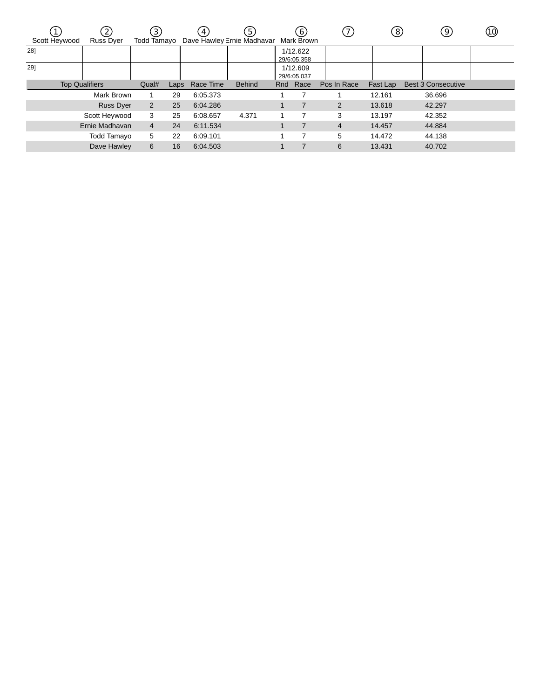| Scott Heywood         | $\left( 2\right)$<br><b>Russ Dyer</b> | $\left[3\right]$<br>Todd Tamayo |      | $\overline{4}$ .<br>Dave Hawley Ernie Madhavar | (5)           | (6)<br>Mark Brown       |                | (8)      | 9                         | (10) |
|-----------------------|---------------------------------------|---------------------------------|------|------------------------------------------------|---------------|-------------------------|----------------|----------|---------------------------|------|
| 28]                   |                                       |                                 |      |                                                |               | 1/12.622<br>29/6:05.358 |                |          |                           |      |
| 29]                   |                                       |                                 |      |                                                |               | 1/12.609<br>29/6:05.037 |                |          |                           |      |
| <b>Top Qualifiers</b> |                                       | Qual#                           | Laps | Race Time                                      | <b>Behind</b> | Rnd Race                | Pos In Race    | Fast Lap | <b>Best 3 Consecutive</b> |      |
|                       | Mark Brown                            |                                 | 29   | 6:05.373                                       |               |                         |                | 12.161   | 36.696                    |      |
|                       | <b>Russ Dyer</b>                      | 2                               | 25   | 6:04.286                                       |               |                         | $\overline{2}$ | 13.618   | 42.297                    |      |
|                       | Scott Heywood                         | 3                               | 25   | 6:08.657                                       | 4.371         |                         | 3              | 13.197   | 42.352                    |      |
|                       | Ernie Madhavan                        | $\overline{4}$                  | 24   | 6:11.534                                       |               |                         | $\overline{4}$ | 14.457   | 44.884                    |      |
|                       | Todd Tamayo                           | 5                               | 22   | 6:09.101                                       |               |                         | 5              | 14.472   | 44.138                    |      |
|                       | Dave Hawley                           | 6                               | 16   | 6:04.503                                       |               |                         | 6              | 13.431   | 40.702                    |      |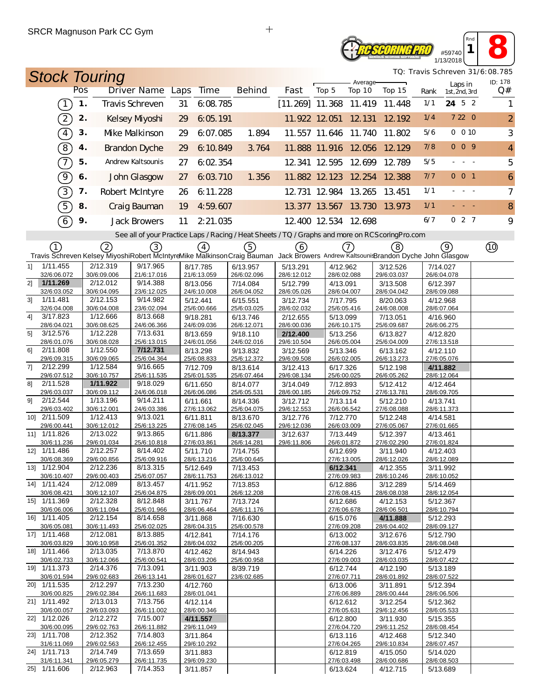#### *C SCORING PRO* #59740 1/13/2018

*TQ: Travis Schreven 31/6:08.785*

*Rnd* **1 8** 

| <b>Stock Touring</b>                                                                                                                                                                                                                |               |                         |                         |    |                         |  |                         |                          |       |                         |                      |                             |                         |               |                | TQ: Travis Schreven 31/6:08.785<br>ID: 178 |
|-------------------------------------------------------------------------------------------------------------------------------------------------------------------------------------------------------------------------------------|---------------|-------------------------|-------------------------|----|-------------------------|--|-------------------------|--------------------------|-------|-------------------------|----------------------|-----------------------------|-------------------------|---------------|----------------|--------------------------------------------|
|                                                                                                                                                                                                                                     | Pos           | <b>Driver Name Laps</b> |                         |    | <b>Time</b>             |  | <b>Behind</b>           | Fast                     | Top 5 |                         | Average-<br>Top 10   | Top 15                      | Rank                    | 1st, 2nd, 3rd | Laps in        | Q#                                         |
| $\boxed{1}$                                                                                                                                                                                                                         | $\mathbf 1$ . | Travis Schreven         |                         | 31 | 6:08.785                |  |                         | $[11.269]$ 11.368 11.419 |       |                         |                      | 11.448                      | 1/1                     | 24 5 2        |                | 1                                          |
| $\left( 2\right)$                                                                                                                                                                                                                   | 2.            | Kelsey Myoshi           |                         | 29 | 6:05.191                |  |                         | 11.922 12.051 12.131     |       |                         |                      | 12.192                      | 1/4                     |               | 7 22 0         | $\overline{2}$                             |
| $\sqrt{4}$                                                                                                                                                                                                                          | 3.            | Mke Malkinson           |                         | 29 | 6:07.085                |  | 1.894                   |                          |       |                         | 11.557 11.646 11.740 | 11.802                      | 5/6                     |               | 0 0 10         | 3                                          |
| $\left( \overline{8}\right)$                                                                                                                                                                                                        | 4.            | <b>Brandon Dyche</b>    |                         | 29 | 6:10.849                |  | 3.764                   |                          |       |                         | 11.888 11.916 12.056 | 12.129                      | 7/8                     |               | 009            | 4                                          |
| $\mathcal{T}$                                                                                                                                                                                                                       | 5.            | Andrew Kaltsounis       |                         | 27 | 6.02.354                |  |                         |                          |       |                         | 12.341 12.595 12.699 | 12.789                      | 5/5                     |               | $\sim$ $ \sim$ | 5                                          |
| $\Theta$                                                                                                                                                                                                                            | 6.            | John Glasgow            |                         | 27 | 6:03.710                |  | 1.356                   |                          |       |                         |                      | 11.882 12.123 12.254 12.388 | 7/7                     |               | 001            | 6                                          |
| $\boxed{3}$                                                                                                                                                                                                                         | 7.            | Robert McIntyre         |                         | 26 | 6:11.228                |  |                         |                          |       |                         | 12.731 12.984 13.265 | 13.451                      | 1/1                     |               |                | $\overline{7}$                             |
| $\widehat{5}$                                                                                                                                                                                                                       | 8.            | Craig Bauman            |                         | 19 | 4:59.607                |  |                         |                          |       |                         | 13.377 13.567 13.730 | 13.973                      | 1/1                     |               |                | 8                                          |
| 6                                                                                                                                                                                                                                   | 9.            | <b>Jack Browers</b>     |                         | 11 | 2:21.035                |  |                         | 12.400 12.534 12.698     |       |                         |                      |                             | 6/7                     |               | 027            | 9                                          |
| See all of your Practice Laps / Racing / Heat Sheets / TQ / Graphs and more on RCS coring Pro.com                                                                                                                                   |               |                         |                         |    |                         |  |                         |                          |       |                         |                      |                             |                         |               |                |                                            |
| 5)<br>(2)<br>$\left(3\right)$<br>$\left(7\right)$<br>(8)<br>(9)<br>(1)<br>$\left(4\right)$<br>6<br>Travis Schreven Kelsey MiyoshiRobert McIntyreMike MalkinsonCraig Bauman Jack Browers Andrew Kaltsouni Brandon Dyche John Glasgow |               |                         |                         |    |                         |  |                         |                          |       |                         |                      |                             |                         |               |                |                                            |
| 1/11.455<br>11                                                                                                                                                                                                                      |               | 2/12.319                | 9/17.965                |    | 8/17.785                |  | 6/13.957                | 5/13.291                 |       | 4/12.962                |                      | 3/12.526                    | 7/14.027                |               |                |                                            |
| 32/6:06.072                                                                                                                                                                                                                         |               | 30/6:09.006             | 21/6:17.016             |    | 21/6:13.059             |  | 26/6:02.096             | 28/6:12.012              |       | 28/6:02.088             |                      | 29/6:03.037                 | 26/6:04.078             |               |                |                                            |
| 21<br>1/11.269                                                                                                                                                                                                                      |               | 2/12.012                | 9/14.388                |    | 8/13.056                |  | 7/14.084                | 5/12.799                 |       | 4/13.091                |                      | 3/13.508                    | 6/12.397                |               |                |                                            |
| 32/6:03.052<br>1/11.481<br>31                                                                                                                                                                                                       |               | 30/6:04.095<br>2/12.153 | 23/6:12.025<br>9/14.982 |    | 24/6:10.008<br>5/12.441 |  | 26/6:04.052<br>6/15.551 | 28/6:05.026<br>3/12.734  |       | 28/6:04.007<br>7/17.795 |                      | 28/6:04.042<br>8/20.063     | 28/6:09.088<br>4/12.968 |               |                |                                            |
| 32/6:04.008                                                                                                                                                                                                                         |               | 30/6:04.008             | 23/6:02.094             |    | 25/6:00.666             |  | 25/6:03.025             | 28/6:02.032              |       | 25/6:05.416             |                      | 24/6:08.008                 | 28/6:07.064             |               |                |                                            |
| 41<br>3/17.823                                                                                                                                                                                                                      |               | 1/12.666                | 8/13.668                |    | 9/18.281                |  | 6/13.746                | 2/12.655                 |       | 5/13.099                |                      | 7/13.051                    | 4/16.960                |               |                |                                            |
| 28/6:04.021<br>5 <sup>1</sup><br>3/12.576                                                                                                                                                                                           |               | 30/6:08.625<br>1/12.228 | 24/6:06.366<br>7/13.631 |    | 24/6:09.036             |  | 26/6:12.071             | 28/6:00.036              |       | 26/6:10.175             |                      | 25/6:09.687                 | 26/6:06.275             |               |                |                                            |
| 28/6:01.076                                                                                                                                                                                                                         |               | 30/6:08.028             | 25/6:13.015             |    | 8/13.659<br>24/6:01.056 |  | 9/18.110<br>24/6:02.016 | 2/12.400<br>29/6:10.504  |       | 5/13.256<br>26/6:05.004 |                      | 6/13.827<br>25/6:04.009     | 4/12.820<br>27/6:13.518 |               |                |                                            |
| 2/11.808<br>61                                                                                                                                                                                                                      |               | 1/12.550                | 7/12.731                |    | 8/13.298                |  | 9/13.832                | 3/12.569                 |       | 5/13.346                |                      | 6/13.162                    | 4/12.110                |               |                |                                            |
| 29/6:09.315                                                                                                                                                                                                                         |               | 30/6:09.065             | 25/6:04.364             |    | 25/6:08.833             |  | 25/6:12.372             | 29/6:09.508              |       | 26/6:02.005             |                      | 26/6:13.273                 | 27/6:05.076             |               |                |                                            |
| 7]<br>2/12.299<br>29/6:07.512                                                                                                                                                                                                       |               | 1/12.584<br>30/6:10.757 | 9/16.665<br>25/6:11.535 |    | 7/12.709<br>25/6:01.535 |  | 8/13.614<br>25/6:07.464 | 3/12.413<br>29/6:08.134  |       | 6/17.326<br>25/6:00.025 |                      | 5/12.198<br>26/6:05.262     | 4/11.882<br>28/6:12.064 |               |                |                                            |
| 2/11.528<br>81                                                                                                                                                                                                                      |               | 1/11.922                | 9/18.029                |    | 6/11.650                |  | 8/14.077                | 3/14.049                 |       | 7/12.893                |                      | 5/12.412                    | 4/12.464                |               |                |                                            |
| 29/6:03.037                                                                                                                                                                                                                         |               | 30/6:09.112             | 24/6:06.018             |    | 26/6:06.086             |  | 25/6:05.531             | 28/6:00.185              |       | 26/6:09.752             |                      | 27/6:13.781                 | 28/6:09.705             |               |                |                                            |
| 2/12.544<br>91                                                                                                                                                                                                                      |               | 1/13.196                | 9/14.211                |    | 6/11.661                |  | 8/14.336                | 3/12.712                 |       | 7/13.114                |                      | 5/12.210                    | 4/13.741                |               |                |                                            |
| 29/6:03.402<br>10] 2/11.509                                                                                                                                                                                                         |               | 30/6:12.001<br>1/12.413 | 24/6:03.386<br>9/13.021 |    | 27/6:13.062<br>6/11.811 |  | 25/6:04.075<br>8/13.670 | 29/6:12.553<br>3/12.776  |       | 26/6:06.542<br>7/12.770 |                      | 27/6:08.088<br>5/12.248     | 28/6:11.373<br>4/14.581 |               |                |                                            |
| 29/6:00.441                                                                                                                                                                                                                         |               | 30/6:12.012             | 25/6:13.225             |    | 27/6:08.145             |  | 25/6:02.045             | 29/6:12.036              |       | 26/6:03.009             |                      | 27/6:05.067                 | 27/6:01.665             |               |                |                                            |
| 11] 1/11.826                                                                                                                                                                                                                        |               | 2/13.022                | 9/13.865                |    | 6/11.886                |  | 8/13.377                | 3/12.637                 |       | 7/13.449                |                      | 5/12.397                    | 4/13.461                |               |                |                                            |
| 30/6:11.236<br>12] 1/11.486                                                                                                                                                                                                         |               | 29/6:01.034<br>2/12.257 | 25/6:10.818<br>8/14.402 |    | 27/6:03.861             |  | 26/6:14.281             | 29/6:11.806              |       | 26/6:01.872             |                      | 27/6:02.290                 | 27/6:01.824             |               |                |                                            |
| 30/6:08.369                                                                                                                                                                                                                         |               | 29/6:00.856             | 25/6:09.916             |    | 5/11.710<br>28/6:13.216 |  | 7/14.755<br>25/6:00.645 |                          |       | 6/12.699<br>27/6:13.005 |                      | 3/11.940<br>28/6:12.026     | 4/12.403<br>28/6:12.089 |               |                |                                            |
| 13] 1/12.904                                                                                                                                                                                                                        |               | 2/12.236                | 8/13.315                |    | 5/12.649                |  | 7/13.453                |                          |       | 6/12.341                |                      | 4/12.355                    | 3/11.992                |               |                |                                            |
| 30/6:10.407                                                                                                                                                                                                                         |               | 29/6:00.403             | 25/6:07.057             |    | 28/6:11.753             |  | 26/6:13.012             |                          |       | 27/6:09.983             |                      | 28/6:10.246                 | 28/6:10.052             |               |                |                                            |
| 14] 1/11.424<br>30/6:08.421                                                                                                                                                                                                         |               | 2/12.089<br>30/6:12.107 | 8/13.457<br>25/6:04.875 |    | 4/11.952<br>28/6:09.001 |  | 7/13.853<br>26/6:12.208 |                          |       | 6/12.886<br>27/6:08.415 |                      | 3/12.289<br>28/6:08.038     | 5/14.469<br>28/6:12.054 |               |                |                                            |
| 15] 1/11.369                                                                                                                                                                                                                        |               | 2/12.328                | 8/12.848                |    | 3/11.767                |  | 7/13.724                |                          |       | 6/12.686                |                      | 4/12.153                    | 5/12.367                |               |                |                                            |
| 30/6:06.006                                                                                                                                                                                                                         |               | 30/6:11.094             | 25/6:01.966             |    | 28/6:06.464             |  | 26/6:11.176             |                          |       | 27/6:06.678             |                      | 28/6:06.501                 | 28/6:10.794             |               |                |                                            |
| 16] 1/11.405                                                                                                                                                                                                                        |               | 2/12.154                | 8/14.658<br>25/6:02.025 |    | 3/11.868                |  | 7/16.630<br>25/6:00.578 |                          |       | 6/15.076                |                      | 4/11.888                    | 5/12.293<br>28/6:09.127 |               |                |                                            |
| 30/6:05.081<br>17] 1/11.468                                                                                                                                                                                                         |               | 30/6:11.493<br>2/12.081 | 8/13.885                |    | 28/6:04.315<br>4/12.841 |  | 7/14.176                |                          |       | 27/6:09.208<br>6/13.002 |                      | 28/6:04.402<br>3/12.676     | 5/12.790                |               |                |                                            |
| 30/6:03.829                                                                                                                                                                                                                         |               | 30/6:10.958             | 25/6:01.352             |    | 28/6:04.032             |  | 25/6:00.205             |                          |       | 27/6:08.137             |                      | 28/6:03.835                 | 28/6:08.048             |               |                |                                            |
| 18] 1/11.466                                                                                                                                                                                                                        |               | 2/13.035                | 7/13.870                |    | 4/12.462                |  | 8/14.943                |                          |       | 6/14.226                |                      | 3/12.476                    | 5/12.479                |               |                |                                            |
| 30/6:02.733<br>19] 1/11.373                                                                                                                                                                                                         |               | 30/6:12.066<br>2/14.376 | 25/6:00.541<br>7/13.091 |    | 28/6:03.206<br>3/11.903 |  | 25/6:00.958<br>8/39.719 |                          |       | 27/6:09.003<br>6/12.744 |                      | 28/6:03.035<br>4/12.190     | 28/6:07.422<br>5/13.189 |               |                |                                            |
| 30/6:01.594                                                                                                                                                                                                                         |               | 29/6:02.683             | 26/6:13.141             |    | 28/6:01.627             |  | 23/6:02.685             |                          |       | 27/6:07.711             |                      | 28/6:01.892                 | 28/6:07.522             |               |                |                                            |
| 20] 1/11.535                                                                                                                                                                                                                        |               | 2/12.297                | 7/13.230                |    | 4/12.760                |  |                         |                          |       | 6/13.006                |                      | 3/11.891                    | 5/12.394                |               |                |                                            |
| 30/6:00.825                                                                                                                                                                                                                         |               | 29/6:02.384             | 26/6:11.683<br>7/13.756 |    | 28/6:01.041             |  |                         |                          |       | 27/6:06.889             |                      | 28/6:00.444                 | 28/6:06.506             |               |                |                                            |
| 21] 1/11.492<br>30/6:00.057                                                                                                                                                                                                         |               | 2/13.013<br>29/6:03.093 | 26/6:11.002             |    | 4/12.114<br>28/6:00.346 |  |                         |                          |       | 6/12.612<br>27/6:05.631 |                      | 3/12.254<br>29/6:12.456     | 5/12.362<br>28/6:05.533 |               |                |                                            |
| 22] 1/12.026                                                                                                                                                                                                                        |               | 2/12.272                | 7/15.007                |    | 4/11.557                |  |                         |                          |       | 6/12.800                |                      | 3/11.930                    | 5/15.355                |               |                |                                            |
| 30/6:00.095                                                                                                                                                                                                                         |               | 29/6:02.763             | 26/6:11.882             |    | 29/6:11.049             |  |                         |                          |       | 27/6:04.720             |                      | 29/6:11.252                 | 28/6:08.454             |               |                |                                            |
| 23] 1/11.708<br>31/6:11.069                                                                                                                                                                                                         |               | 2/12.352<br>29/6:02.563 | 7/14.803<br>26/6:12.455 |    | 3/11.864<br>29/6:10.292 |  |                         |                          |       | 6/13.116<br>27/6:04.265 |                      | 4/12.468<br>29/6:10.834     | 5/12.340                | 28/6:07.457   |                |                                            |
| 24] 1/11.713                                                                                                                                                                                                                        |               | 2/14.749                | 7/13.659                |    | 3/11.883                |  |                         |                          |       | 6/12.819                |                      | 4/15.050                    | 5/14.020                |               |                |                                            |
| 31/6:11.341                                                                                                                                                                                                                         |               | 29/6:05.279             | 26/6:11.735             |    | 29/6:09.230             |  |                         |                          |       | 27/6:03.498             |                      | 28/6:00.686                 | 28/6:08.503             |               |                |                                            |
| 25] 1/11.606                                                                                                                                                                                                                        |               | 2/12.963                | 7/14.353                |    | 3/11.857                |  |                         |                          |       | 6/13.624                |                      | 4/12.715                    | 5/13.689                |               |                |                                            |

 $\ddot{+}$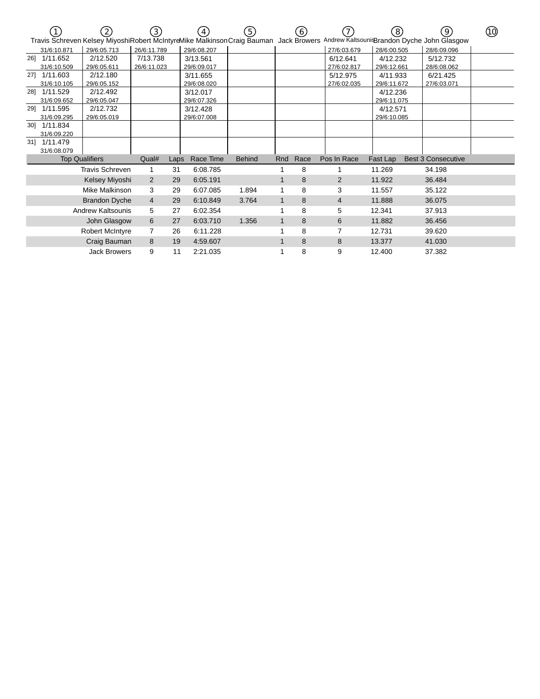|                          |                       | (2)                                                                                   | $\left(3\right)$ |      | 4           | (5)           |              | $\mathbf{6}$ |             | $\left(8\right)$ | 9)                                          | 10) |
|--------------------------|-----------------------|---------------------------------------------------------------------------------------|------------------|------|-------------|---------------|--------------|--------------|-------------|------------------|---------------------------------------------|-----|
|                          |                       | Travis Schreven Kelsey MiyoshiRobert McIntyreMike Malkinson Craig Bauman Jack Browers |                  |      |             |               |              |              |             |                  | Andrew Kaltsouni Brandon Dyche John Glasgow |     |
|                          | 31/6:10.871           | 29/6:05.713                                                                           | 26/6:11.789      |      | 29/6:08.207 |               |              |              | 27/6:03.679 | 28/6:00.505      | 28/6:09.096                                 |     |
| 261                      | 1/11.652              | 2/12.520                                                                              | 7/13.738         |      | 3/13.561    |               |              |              | 6/12.641    | 4/12.232         | 5/12.732                                    |     |
|                          | 31/6:10.509           | 29/6:05.611                                                                           | 26/6:11.023      |      | 29/6:09.017 |               |              |              | 27/6:02.817 | 29/6:12.661      | 28/6:08.062                                 |     |
| 271                      | 1/11.603              | 2/12.180                                                                              |                  |      | 3/11.655    |               |              |              | 5/12.975    | 4/11.933         | 6/21.425                                    |     |
|                          | 31/6:10.105           | 29/6:05.152                                                                           |                  |      | 29/6:08.020 |               |              |              | 27/6:02.035 | 29/6:11.672      | 27/6:03.071                                 |     |
| 28]                      | 1/11.529              | 2/12.492                                                                              |                  |      | 3/12.017    |               |              |              |             | 4/12.236         |                                             |     |
|                          | 31/6:09.652           | 29/6:05.047                                                                           |                  |      | 29/6:07.326 |               |              |              |             | 29/6:11.075      |                                             |     |
| 291                      | 1/11.595              | 2/12.732                                                                              |                  |      | 3/12.428    |               |              |              |             | 4/12.571         |                                             |     |
|                          | 31/6:09.295           | 29/6:05.019                                                                           |                  |      | 29/6:07.008 |               |              |              |             | 29/6:10.085      |                                             |     |
| 301                      | 1/11.834              |                                                                                       |                  |      |             |               |              |              |             |                  |                                             |     |
|                          | 31/6:09.220           |                                                                                       |                  |      |             |               |              |              |             |                  |                                             |     |
| 31]                      | 1/11.479              |                                                                                       |                  |      |             |               |              |              |             |                  |                                             |     |
|                          | 31/6:08.079           |                                                                                       |                  |      |             |               |              |              |             |                  |                                             |     |
|                          | <b>Top Qualifiers</b> |                                                                                       | Qual#            | Laps | Race Time   | <b>Behind</b> | Rnd          | Race         | Pos In Race | Fast Lap         | <b>Best 3 Consecutive</b>                   |     |
|                          |                       | <b>Travis Schreven</b>                                                                |                  | 31   | 6:08.785    |               |              | 8            |             | 11.269           | 34.198                                      |     |
|                          |                       | Kelsey Miyoshi                                                                        | 2                | 29   | 6:05.191    |               | 1            | 8            | 2           | 11.922           | 36.484                                      |     |
|                          |                       | Mike Malkinson                                                                        | 3                | 29   | 6:07.085    | 1.894         | 1            | 8            | 3           | 11.557           | 35.122                                      |     |
|                          |                       | <b>Brandon Dyche</b>                                                                  | $\overline{4}$   | 29   | 6:10.849    | 3.764         | 1            | 8            | 4           | 11.888           | 36.075                                      |     |
| <b>Andrew Kaltsounis</b> |                       |                                                                                       | 5                | 27   | 6:02.354    |               |              | 8            | 5           | 12.341           | 37.913                                      |     |
| John Glasgow             |                       |                                                                                       | 6                | 27   | 6:03.710    | 1.356         | $\mathbf{1}$ | 8            | 6           | 11.882           | 36.456                                      |     |
| <b>Robert McIntyre</b>   |                       |                                                                                       | $\overline{7}$   | 26   | 6:11.228    |               |              | 8            | 7           | 12.731           | 39.620                                      |     |
| Craig Bauman             |                       |                                                                                       | 8                | 19   | 4:59.607    |               | 1            | 8            | 8           | 13.377           | 41.030                                      |     |
| <b>Jack Browers</b>      |                       |                                                                                       | 9                | 11   | 2:21.035    |               |              | 8            | 9           | 12.400           | 37.382                                      |     |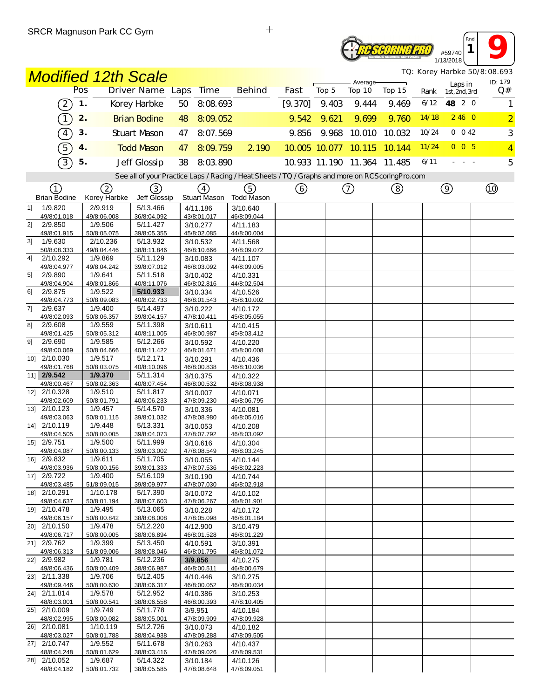## *PSCORING PRO* #59740 1/13/2018

*TQ: Korey Harbke 50/8:08.693*

*Rnd* **1 9** 

|    |                             | <b>Modified 12th Scale</b>        |                         |                         |                                                                                                   | TQ: Korey Harbke 50/8:08.693 |                      |                    |                             |       |                          |                |  |
|----|-----------------------------|-----------------------------------|-------------------------|-------------------------|---------------------------------------------------------------------------------------------------|------------------------------|----------------------|--------------------|-----------------------------|-------|--------------------------|----------------|--|
|    |                             | Pos                               | Driver Name Laps        | Time                    | <b>Behind</b>                                                                                     | Fast                         | Top 5                | Average-<br>Top 10 | Top 15                      | Rank  | Laps in<br>1st, 2nd, 3rd | ID: 179<br>Q#  |  |
|    | $\left[2\right]$            | $\mathbf 1$ .                     | Korey Harbke            | 50<br>8:08.693          |                                                                                                   | [9.370]                      | 9.403                | 9.444              | 9.469                       | 6/12  | 48 2 0                   | 1              |  |
|    | $\boxed{1}$                 | 2.                                | <b>Brian Bodine</b>     | 8:09.052<br>48          |                                                                                                   | 9.542                        | 9.621                | 9.699              | 9.760                       | 14/18 | 2460                     | $\overline{2}$ |  |
|    | $\boxed{4}$                 | 3.                                | <b>Stuart Mason</b>     | 8:07.569<br>47          |                                                                                                   | 9.856                        | 9.968                | 10.010             | 10.032                      | 10/24 | $0 \t 0 \t 42$           | 3              |  |
|    | $\overline{5}$              | 4.                                | <b>Todd Mason</b>       | 47<br>8:09.759          | 2 1 9 0                                                                                           |                              | 10.005 10.077 10.115 |                    | 10.144                      | 11/24 | 0 <sub>0</sub> 5         | $\overline{4}$ |  |
|    |                             |                                   |                         |                         |                                                                                                   |                              |                      |                    |                             | 6/11  |                          |                |  |
|    | 3                           | 5.                                | Jeff Glossip            | 38<br>8:03.890          |                                                                                                   |                              |                      |                    | 10.933 11.190 11.364 11.485 |       |                          | 5              |  |
|    |                             |                                   |                         |                         | See all of your Practice Laps / Racing / Heat Sheets / TQ / Graphs and more on RCS coring Pro.com |                              |                      |                    |                             |       |                          |                |  |
|    | (1)<br><b>Brian Bodine</b>  | $\left( 2\right)$<br>Korey Harbke | (3)<br>Jeff Glossip     | (4)<br>Stuart Mason     | (5)<br>Todd Mason                                                                                 | (6)                          |                      | $\left(  \right)$  | (8)                         |       | $\circledcirc$           |                |  |
| 11 | 1/9.820                     | 2/9.919                           | 5/13.466                | 4/11.186                | 3/10.640                                                                                          |                              |                      |                    |                             |       |                          |                |  |
| 2] | 49/8:01.018<br>2/9.850      | 49/8:06.008<br>1/9.506            | 36/8:04.092<br>5/11.427 | 43/8:01.017             | 46/8:09.044<br>4/11.183                                                                           |                              |                      |                    |                             |       |                          |                |  |
|    | 49/8:01.915                 | 50/8:05.075                       | 39/8:05.355             | 3/10.277<br>45/8:02.085 | 44/8:00.004                                                                                       |                              |                      |                    |                             |       |                          |                |  |
| 31 | 1/9.630                     | 2/10.236                          | 5/13.932                | 3/10.532                | 4/11.568                                                                                          |                              |                      |                    |                             |       |                          |                |  |
| 41 | 50/8:08.333<br>2/10.292     | 49/8:04.446<br>1/9.869            | 38/8:11.846<br>5/11.129 | 46/8:10.666<br>3/10.083 | 44/8:09.072<br>4/11.107                                                                           |                              |                      |                    |                             |       |                          |                |  |
|    | 49/8:04.977                 | 49/8:04.242                       | 39/8:07.012             | 46/8:03.092             | 44/8:09.005                                                                                       |                              |                      |                    |                             |       |                          |                |  |
| 51 | 2/9.890                     | 1/9.641<br>49/8:01.866            | 5/11.518                | 3/10.402                | 4/10.331                                                                                          |                              |                      |                    |                             |       |                          |                |  |
| 61 | 49/8:04.904<br>2/9.875      | 1/9.522                           | 40/8:11.076<br>5/10.933 | 46/8:02.816<br>3/10.334 | 44/8:02.504<br>4/10.526                                                                           |                              |                      |                    |                             |       |                          |                |  |
|    | 49/8:04.773                 | 50/8:09.083                       | 40/8:02.733             | 46/8:01.543             | 45/8:10.002                                                                                       |                              |                      |                    |                             |       |                          |                |  |
| 7] | 2/9.637<br>49/8:02.093      | 1/9.400<br>50/8:06.357            | 5/14.497<br>39/8:04.157 | 3/10.222<br>47/8:10.411 | 4/10.172<br>45/8:05.055                                                                           |                              |                      |                    |                             |       |                          |                |  |
| 81 | 2/9.608                     | 1/9.559                           | 5/11.398                | 3/10.611                | 4/10.415                                                                                          |                              |                      |                    |                             |       |                          |                |  |
|    | 49/8:01.425                 | 50/8:05.312                       | 40/8:11.005             | 46/8:00.987             | 45/8:03.412                                                                                       |                              |                      |                    |                             |       |                          |                |  |
| 91 | 2/9.690<br>49/8:00.069      | 1/9.585<br>50/8:04.666            | 5/12.266<br>40/8:11.422 | 3/10.592<br>46/8:01.671 | 4/10.220<br>45/8:00.008                                                                           |                              |                      |                    |                             |       |                          |                |  |
|    | 10] 2/10.030                | 1/9.517                           | 5/12.171                | 3/10.291                | 4/10.436                                                                                          |                              |                      |                    |                             |       |                          |                |  |
|    | 49/8:01.768                 | 50/8:03.075                       | 40/8:10.096             | 46/8:00.838             | 46/8:10.036                                                                                       |                              |                      |                    |                             |       |                          |                |  |
|    | 11] 2/9.542<br>49/8:00.467  | 1/9.370<br>50/8:02.363            | 5/11.314<br>40/8:07.454 | 3/10.375<br>46/8:00.532 | 4/10.322<br>46/8:08.938                                                                           |                              |                      |                    |                             |       |                          |                |  |
|    | 12] 2/10.328                | 1/9.510                           | 5/11.817                | 3/10.007                | 4/10.071                                                                                          |                              |                      |                    |                             |       |                          |                |  |
|    | 49/8:02.609                 | 50/8:01.791                       | 40/8:06.233             | 47/8:09.230             | 46/8:06.795                                                                                       |                              |                      |                    |                             |       |                          |                |  |
|    | 13] 2/10.123<br>49/8:03.063 | 1/9.457<br>50/8:01.115            | 5/14.570<br>39/8:01.032 | 3/10.336<br>47/8:08.980 | 4/10.081<br>46/8:05.016                                                                           |                              |                      |                    |                             |       |                          |                |  |
|    | 14] 2/10.119                | 1/9.448                           | 5/13.331                | 3/10.053                | 4/10.208                                                                                          |                              |                      |                    |                             |       |                          |                |  |
|    | 49/8:04.505                 | 50/8:00.005                       | 39/8:04.073             | 47/8:07.792             | 46/8:03.092                                                                                       |                              |                      |                    |                             |       |                          |                |  |
|    | 15] 2/9.751<br>49/8:04.087  | 1/9.500<br>50/8:00.133            | 5/11.999<br>39/8:03.002 | 3/10.616<br>47/8:08.549 | 4/10.304<br>46/8:03.245                                                                           |                              |                      |                    |                             |       |                          |                |  |
|    | 16] 2/9.832                 | 1/9.611                           | 5/11.705                | 3/10.055                | 4/10.144                                                                                          |                              |                      |                    |                             |       |                          |                |  |
|    | 49/8:03.936                 | 50/8:00.156                       | 39/8:01.333             | 47/8:07.536             | 46/8:02.223                                                                                       |                              |                      |                    |                             |       |                          |                |  |
|    | 17] 2/9.722<br>49/8:03.485  | 1/9.400<br>51/8:09.015            | 5/16.109<br>39/8:09.977 | 3/10.190<br>47/8:07.030 | 4/10.744<br>46/8:02.918                                                                           |                              |                      |                    |                             |       |                          |                |  |
|    | 18] 2/10.291                | 1/10.178                          | 5/17.390                | 3/10.072                | 4/10.102                                                                                          |                              |                      |                    |                             |       |                          |                |  |
|    | 49/8:04.637                 | 50/8:01.194                       | 38/8:07.603             | 47/8:06.267             | 46/8:01.901                                                                                       |                              |                      |                    |                             |       |                          |                |  |
|    | 19] 2/10.478<br>49/8:06.157 | 1/9.495<br>50/8:00.842            | 5/13.065<br>38/8:08.008 | 3/10.228<br>47/8:05.098 | 4/10.172<br>46/8:01.184                                                                           |                              |                      |                    |                             |       |                          |                |  |
|    | 20] 2/10.150                | 1/9.478                           | 5/12.220                | 4/12.900                | 3/10.479                                                                                          |                              |                      |                    |                             |       |                          |                |  |
|    | 49/8:06.717                 | 50/8:00.005                       | 38/8:06.894             | 46/8:01.528             | 46/8:01.229                                                                                       |                              |                      |                    |                             |       |                          |                |  |
|    | 21] 2/9.762<br>49/8:06.313  | 1/9.399<br>51/8:09.006            | 5/13.450<br>38/8:08.046 | 4/10.591<br>46/8:01.795 | 3/10.391<br>46/8:01.072                                                                           |                              |                      |                    |                             |       |                          |                |  |
|    | 22] 2/9.982                 | 1/9.781                           | 5/12.236                | 3/9.856                 | 4/10.275                                                                                          |                              |                      |                    |                             |       |                          |                |  |
|    | 49/8:06.436                 | 50/8:00.409                       | 38/8:06.987             | 46/8:00.511             | 46/8:00.679                                                                                       |                              |                      |                    |                             |       |                          |                |  |
|    | 23] 2/11.338<br>49/8:09.446 | 1/9.706<br>50/8:00.630            | 5/12.405<br>38/8:06.317 | 4/10.446<br>46/8:00.052 | 3/10.275<br>46/8:00.034                                                                           |                              |                      |                    |                             |       |                          |                |  |
|    | 24] 2/11.814                | 1/9.578                           | 5/12.952                | 4/10.386                | 3/10.253                                                                                          |                              |                      |                    |                             |       |                          |                |  |
|    | 48/8:03.001                 | 50/8:00.541                       | 38/8:06.558             | 46/8:00.393             | 47/8:10.405                                                                                       |                              |                      |                    |                             |       |                          |                |  |
|    | 25] 2/10.009<br>48/8:02.995 | 1/9.749<br>50/8:00.082            | 5/11.778<br>38/8:05.001 | 3/9.951<br>47/8:09.909  | 4/10.184<br>47/8:09.928                                                                           |                              |                      |                    |                             |       |                          |                |  |
|    | 26] 2/10.081                | 1/10.119                          | 5/12.726                | 3/10.073                | 4/10.182                                                                                          |                              |                      |                    |                             |       |                          |                |  |
|    | 48/8:03.027                 | 50/8:01.788                       | 38/8:04.938             | 47/8:09.288             | 47/8:09.505                                                                                       |                              |                      |                    |                             |       |                          |                |  |
|    | 27] 2/10.747<br>48/8:04.248 | 1/9.552<br>50/8:01.629            | 5/11.678<br>38/8:03.416 | 3/10.263<br>47/8:09.026 | 4/10.437<br>47/8:09.531                                                                           |                              |                      |                    |                             |       |                          |                |  |
|    | 28] 2/10.052                | 1/9.687                           | 5/14.322                | 3/10.184                | 4/10.126                                                                                          |                              |                      |                    |                             |       |                          |                |  |
|    | 48/8:04.182                 | 50/8:01.732                       | 38/8:05.585             | 47/8:08.648             | 47/8:09.051                                                                                       |                              |                      |                    |                             |       |                          |                |  |

 $\qquad \qquad +$